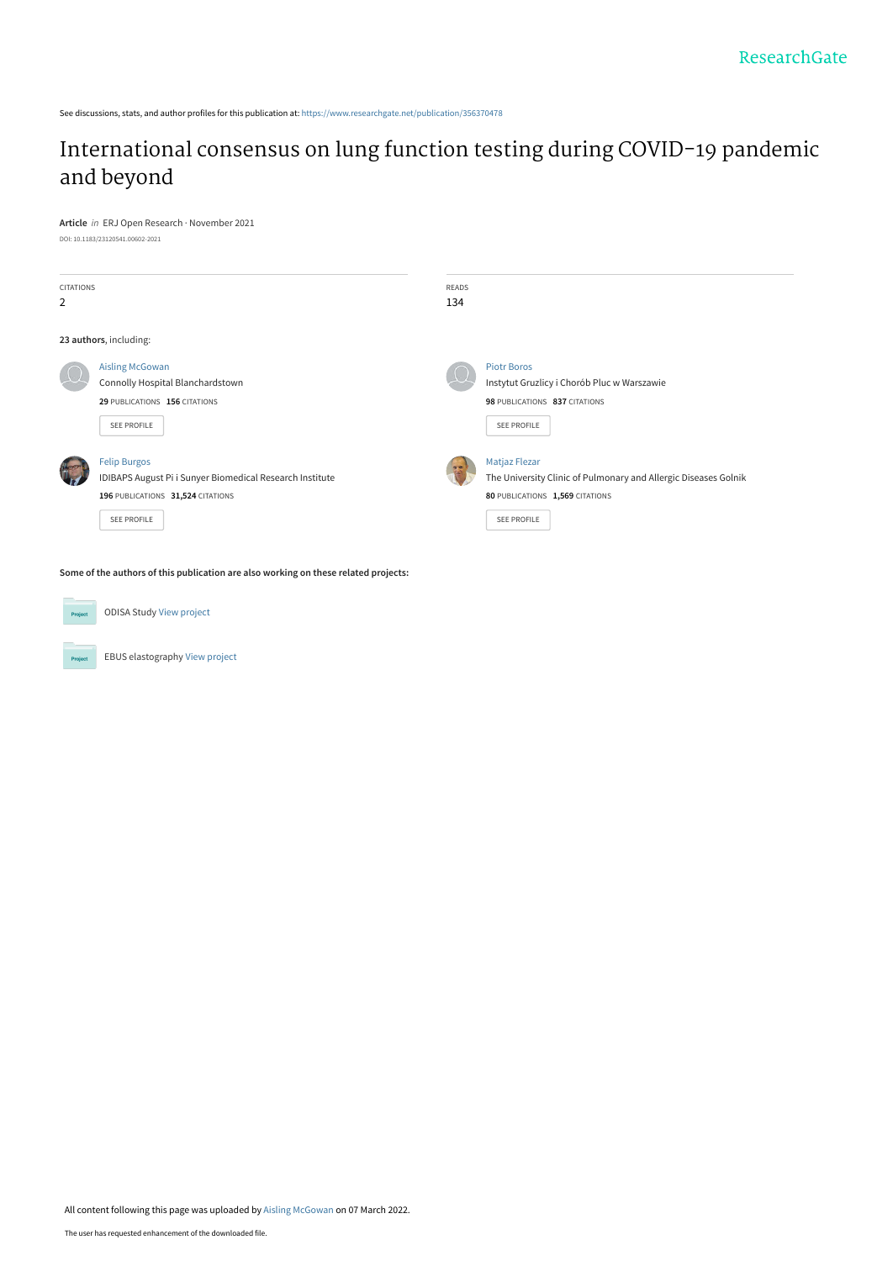See discussions, stats, and author profiles for this publication at: [https://www.researchgate.net/publication/356370478](https://www.researchgate.net/publication/356370478_International_consensus_on_lung_function_testing_during_COVID-19_pandemic_and_beyond?enrichId=rgreq-09ced7d65b8eb4462eef3d3c97200799-XXX&enrichSource=Y292ZXJQYWdlOzM1NjM3MDQ3ODtBUzoxMTMwOTQwMTk3ODAxOTg1QDE2NDY2NDg1NjM1MzY%3D&el=1_x_2&_esc=publicationCoverPdf)

# [International consensus on lung function testing during COVID-19 pandemic](https://www.researchgate.net/publication/356370478_International_consensus_on_lung_function_testing_during_COVID-19_pandemic_and_beyond?enrichId=rgreq-09ced7d65b8eb4462eef3d3c97200799-XXX&enrichSource=Y292ZXJQYWdlOzM1NjM3MDQ3ODtBUzoxMTMwOTQwMTk3ODAxOTg1QDE2NDY2NDg1NjM1MzY%3D&el=1_x_3&_esc=publicationCoverPdf) and beyond

**Article** in ERJ Open Research · November 2021

| DOI: 10.1183/23120541.00602-2021 |  |
|----------------------------------|--|
|                                  |  |

| <b>CITATIONS</b> |                                                          | <b>READS</b> |                                                                 |
|------------------|----------------------------------------------------------|--------------|-----------------------------------------------------------------|
| 2                |                                                          | 134          |                                                                 |
|                  |                                                          |              |                                                                 |
|                  | 23 authors, including:                                   |              |                                                                 |
|                  | <b>Aisling McGowan</b>                                   |              | <b>Piotr Boros</b>                                              |
|                  | Connolly Hospital Blanchardstown                         |              | Instytut Gruzlicy i Chorób Pluc w Warszawie                     |
|                  | 29 PUBLICATIONS 156 CITATIONS                            |              | 98 PUBLICATIONS 837 CITATIONS                                   |
|                  | SEE PROFILE                                              |              | <b>SEE PROFILE</b>                                              |
|                  |                                                          |              |                                                                 |
|                  | <b>Felip Burgos</b>                                      |              | Matjaz Flezar                                                   |
|                  | IDIBAPS August Pi i Sunyer Biomedical Research Institute |              | The University Clinic of Pulmonary and Allergic Diseases Golnik |
|                  | 196 PUBLICATIONS 31,524 CITATIONS                        |              | 80 PUBLICATIONS 1,569 CITATIONS                                 |
|                  | <b>SEE PROFILE</b>                                       |              | <b>SEE PROFILE</b>                                              |
|                  |                                                          |              |                                                                 |
|                  |                                                          |              |                                                                 |

**Some of the authors of this publication are also working on these related projects:**



Project

ODISA Study [View project](https://www.researchgate.net/project/ODISA-Study?enrichId=rgreq-09ced7d65b8eb4462eef3d3c97200799-XXX&enrichSource=Y292ZXJQYWdlOzM1NjM3MDQ3ODtBUzoxMTMwOTQwMTk3ODAxOTg1QDE2NDY2NDg1NjM1MzY%3D&el=1_x_9&_esc=publicationCoverPdf)

EBUS elastography [View project](https://www.researchgate.net/project/EBUS-elastography?enrichId=rgreq-09ced7d65b8eb4462eef3d3c97200799-XXX&enrichSource=Y292ZXJQYWdlOzM1NjM3MDQ3ODtBUzoxMTMwOTQwMTk3ODAxOTg1QDE2NDY2NDg1NjM1MzY%3D&el=1_x_9&_esc=publicationCoverPdf)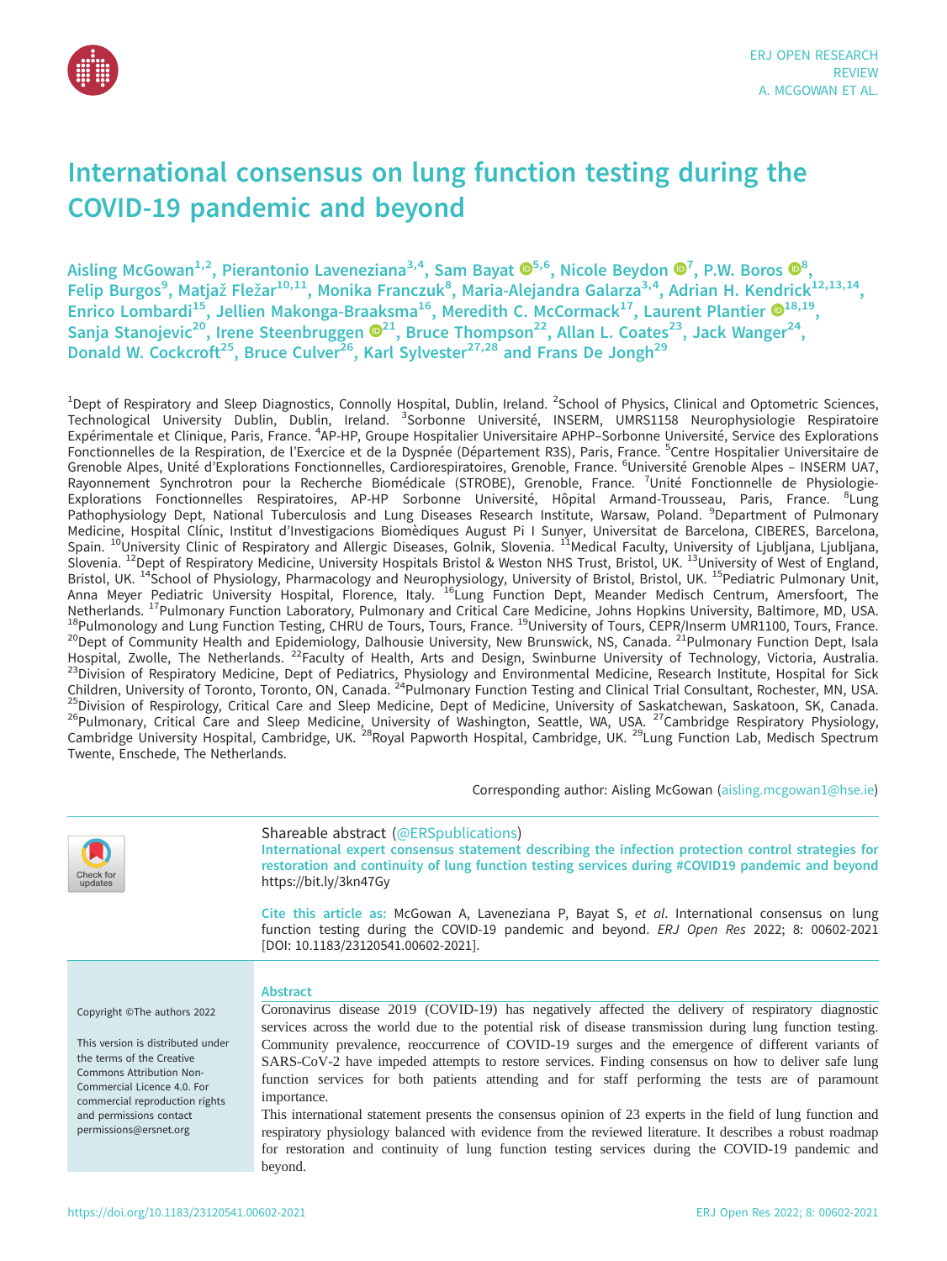

# International consensus on lung function testing during the COVID-19 pandemic and beyond

Aisling McGowan $^{1,2}$ , Pierantonio Laveneziana $^{3,4}$ , Sam Bayat  $\pmb{\mathbb{G}}^{5,6}$ , Nicole Beydon  $\pmb{\mathbb{G}}^{7}$ , P.W. Boros  $\pmb{\mathbb{G}}^{8},$ Felip Burgos<sup>9</sup>, Matjaž Fležar<sup>10,11</sup>, Monika Franczuk<sup>8</sup>, Maria-Alejandra Galarza<sup>3,4</sup>, Adrian H. Kendrick<sup>12,13,14</sup>, Enrico Lombardi<sup>15</sup>, Jellien Makonga-Braaksma<sup>16</sup>, Meredith C. McCormack<sup>17</sup>, Laurent Plantier  $\mathbf{O}^{18,19}$ , Sanja Stanojevic<sup>[2](https://orcid.org/0000-0003-1794-7682)0</sup>, Irene Steenbruggen  $\mathbf{O}^{21}$ , Bruce Thompson<sup>22</sup>, Allan L. Coates<sup>23</sup>, Jack Wanger<sup>24</sup>, Donald W. Cockcroft<sup>25</sup>, Bruce Culver<sup>26</sup>, Karl Sylvester<sup>27,28</sup> and Frans De Jongh<sup>29</sup>

<sup>1</sup>Dept of Respiratory and Sleep Diagnostics, Connolly Hospital, Dublin, Ireland. <sup>2</sup>School of Physics, Clinical and Optometric Sciences,<br>Technological University Dublin, Dublin, Ireland. <sup>3</sup>Sorbonne Université, INS Expérimentale et Clinique, Paris, France. <sup>4</sup>AP-HP, Groupe Hospitalier Universitaire APHP-Sorbonne Université, Service des Explorations Fonctionnelles de la Respiration, de l'Exercice et de la Dyspnée (Département R3S), Paris, France. <sup>5</sup>Centre Hospitalier Universitaire de Grenoble Alpes, Unité d'Explorations Fonctionnelles, Cardiorespiratoires, Grenoble, France. <sup>6</sup>Université Grenoble Alpes - INSERM UA7, Rayonnement Synchrotron pour la Recherche Biomédicale (STROBE), Grenoble, France. <sup>7</sup>Unité Fonctionnelle de Physiologie-Explorations Fonctionnelles Respiratoires, AP-HP Sorbonne Université, Hôpital Armand-Trousseau, Paris, France. <sup>8</sup>Lung Pathophysiology Dept, National Tuberculosis and Lung Diseases Research Institute, Warsaw, Poland. <sup>9</sup>Department of Pulmonary Medicine, Hospital Clínic, Institut d'Investigacions Biomèdiques August Pi I Sunyer, Universitat de Barcelona, CIBERES, Barcelona,<br>Spain. <sup>10</sup>University Clinic of Respiratory and Allergic Diseases, Golnik, Slovenia. <sup>11</sup>Me Slovenia. 12Dept of Respiratory Medicine, University Hospitals Bristol & Weston NHS Trust, Bristol, UK. 13University of West of England, Bristol, UK. <sup>14</sup>School of Physiology, Pharmacology and Neurophysiology, University of Bristol, Bristol, UK. <sup>15</sup>Pediatric Pulmonary Unit, Anna Meyer Pediatric University Hospital, Florence, Italy. 16Lung Function Dept, Meander Medisch Centrum, Amersfoort, The Netherlands. <sup>17</sup>Pulmonary Function Laboratory, Pulmonary and Critical Care Medicine, Johns Hopkins University, Baltimore, MD, USA. <sup>18</sup>Pulmonology and Lung Function Testing, CHRU de Tours, Tours, France. <sup>19</sup>University of 23 Division of Respiratory Medicine, Dept of Pediatrics, Physiology and Environmental Medicine, Research Institute, Hospital for Sick<br>Children, University of Toronto, Toronto, ON, Canada. <sup>24</sup>Pulmonary Function Testing and 25 Division of Respirology, Critical Care and Sleep Medicine, Dept of Medicine, University of Saskatchewan, Saskatoon, SK, Canada. Pulmonary, Critical Care and Sleep Medicine, University of Washington, Seattle, WA, USA. <sup>27</sup>Cambridge Respiratory Physiology, Cambridge University Hospital, Cambridge, UK. <sup>28</sup>Royal Papworth Hospital, Cambridge, UK. <sup>29</sup>L Twente, Enschede, The Netherlands.

Corresponding author: Aisling McGowan ([aisling.mcgowan1@hse.ie](mailto:aisling.mcgowan1@hse.ie))



# Shareable abstract (@ERSpublications)

Abstract

International expert consensus statement describing the infection protection control strategies for restoration and continuity of lung function testing services during #COVID19 pandemic and beyond <https://bit.ly/3kn47Gy>

Cite this article as: McGowan A, Laveneziana P, Bayat S, et al. International consensus on lung function testing during the COVID-19 pandemic and beyond. ERJ Open Res 2022; 8: 00602-2021 [\[DOI: 10.1183/23120541.00602-2021\].](https://doi.org/10.1183/23120541.00602-2021)

Copyright ©The authors 2022

This version is distributed under the terms of the Creative Commons Attribution Non-Commercial Licence 4.0. For commercial reproduction rights and permissions contact [permissions@ersnet.org](mailto:permissions@ersnet.org)

Coronavirus disease 2019 (COVID-19) has negatively affected the delivery of respiratory diagnostic services across the world due to the potential risk of disease transmission during lung function testing. Community prevalence, reoccurrence of COVID-19 surges and the emergence of different variants of SARS-CoV-2 have impeded attempts to restore services. Finding consensus on how to deliver safe lung function services for both patients attending and for staff performing the tests are of paramount importance.

This international statement presents the consensus opinion of 23 experts in the field of lung function and respiratory physiology balanced with evidence from the reviewed literature. It describes a robust roadmap for restoration and continuity of lung function testing services during the COVID-19 pandemic and beyond.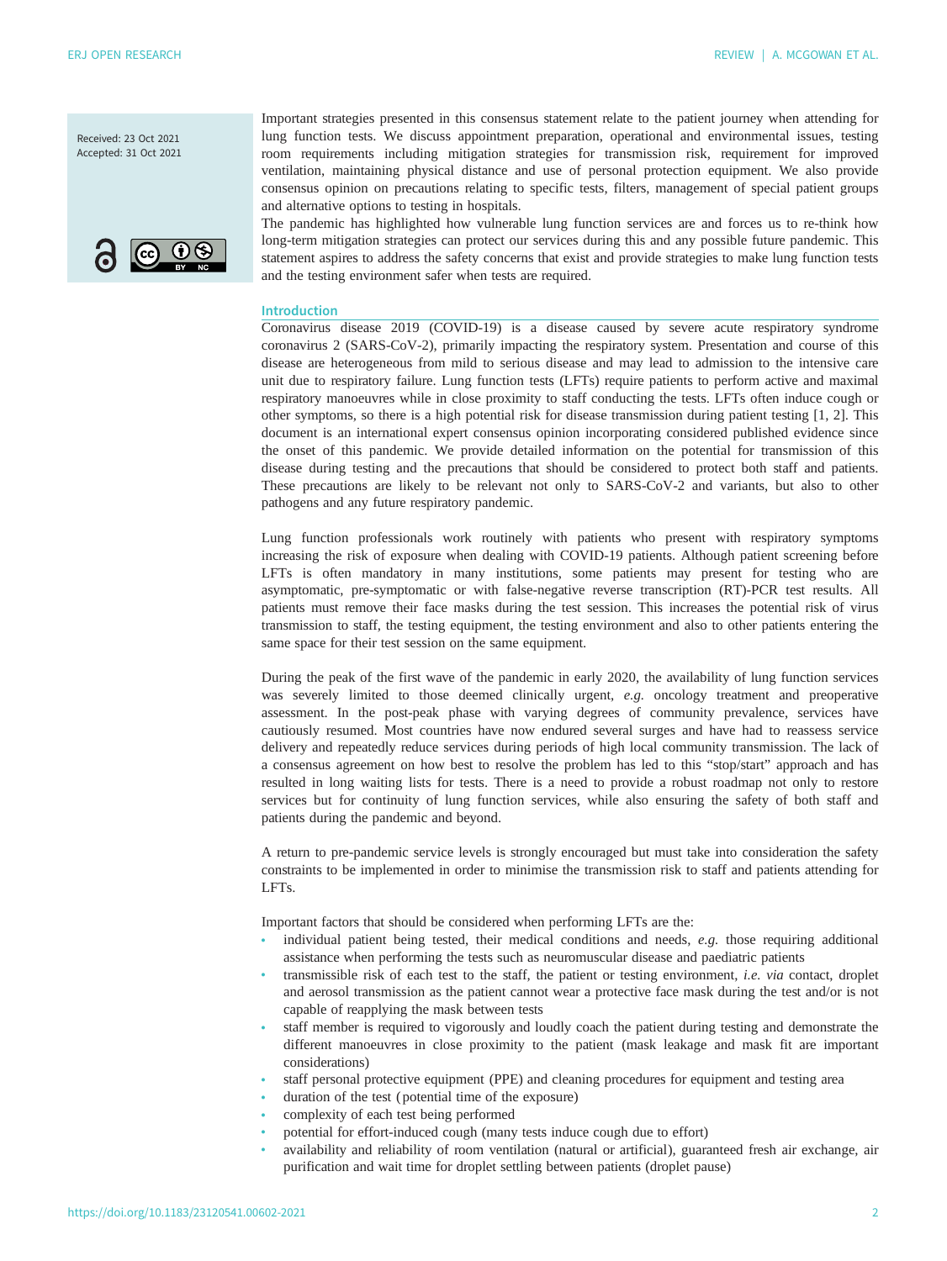Received: 23 Oct 2021 Accepted: 31 Oct 2021



Important strategies presented in this consensus statement relate to the patient journey when attending for lung function tests. We discuss appointment preparation, operational and environmental issues, testing room requirements including mitigation strategies for transmission risk, requirement for improved ventilation, maintaining physical distance and use of personal protection equipment. We also provide consensus opinion on precautions relating to specific tests, filters, management of special patient groups and alternative options to testing in hospitals.

The pandemic has highlighted how vulnerable lung function services are and forces us to re-think how long-term mitigation strategies can protect our services during this and any possible future pandemic. This statement aspires to address the safety concerns that exist and provide strategies to make lung function tests and the testing environment safer when tests are required.

#### Introduction

Coronavirus disease 2019 (COVID-19) is a disease caused by severe acute respiratory syndrome coronavirus 2 (SARS-CoV-2), primarily impacting the respiratory system. Presentation and course of this disease are heterogeneous from mild to serious disease and may lead to admission to the intensive care unit due to respiratory failure. Lung function tests (LFTs) require patients to perform active and maximal respiratory manoeuvres while in close proximity to staff conducting the tests. LFTs often induce cough or other symptoms, so there is a high potential risk for disease transmission during patient testing [[1](#page-20-0), [2\]](#page-20-0). This document is an international expert consensus opinion incorporating considered published evidence since the onset of this pandemic. We provide detailed information on the potential for transmission of this disease during testing and the precautions that should be considered to protect both staff and patients. These precautions are likely to be relevant not only to SARS-CoV-2 and variants, but also to other pathogens and any future respiratory pandemic.

Lung function professionals work routinely with patients who present with respiratory symptoms increasing the risk of exposure when dealing with COVID-19 patients. Although patient screening before LFTs is often mandatory in many institutions, some patients may present for testing who are asymptomatic, pre-symptomatic or with false-negative reverse transcription (RT)-PCR test results. All patients must remove their face masks during the test session. This increases the potential risk of virus transmission to staff, the testing equipment, the testing environment and also to other patients entering the same space for their test session on the same equipment.

During the peak of the first wave of the pandemic in early 2020, the availability of lung function services was severely limited to those deemed clinically urgent, e.g. oncology treatment and preoperative assessment. In the post-peak phase with varying degrees of community prevalence, services have cautiously resumed. Most countries have now endured several surges and have had to reassess service delivery and repeatedly reduce services during periods of high local community transmission. The lack of a consensus agreement on how best to resolve the problem has led to this "stop/start" approach and has resulted in long waiting lists for tests. There is a need to provide a robust roadmap not only to restore services but for continuity of lung function services, while also ensuring the safety of both staff and patients during the pandemic and beyond.

A return to pre-pandemic service levels is strongly encouraged but must take into consideration the safety constraints to be implemented in order to minimise the transmission risk to staff and patients attending for LFTs.

Important factors that should be considered when performing LFTs are the:

- individual patient being tested, their medical conditions and needs,  $e.g.$  those requiring additional assistance when performing the tests such as neuromuscular disease and paediatric patients
- transmissible risk of each test to the staff, the patient or testing environment, *i.e. via* contact, droplet and aerosol transmission as the patient cannot wear a protective face mask during the test and/or is not capable of reapplying the mask between tests
- staff member is required to vigorously and loudly coach the patient during testing and demonstrate the different manoeuvres in close proximity to the patient (mask leakage and mask fit are important considerations)
- staff personal protective equipment (PPE) and cleaning procedures for equipment and testing area
- duration of the test (potential time of the exposure)
- complexity of each test being performed
- potential for effort-induced cough (many tests induce cough due to effort)
- availability and reliability of room ventilation (natural or artificial), guaranteed fresh air exchange, air purification and wait time for droplet settling between patients (droplet pause)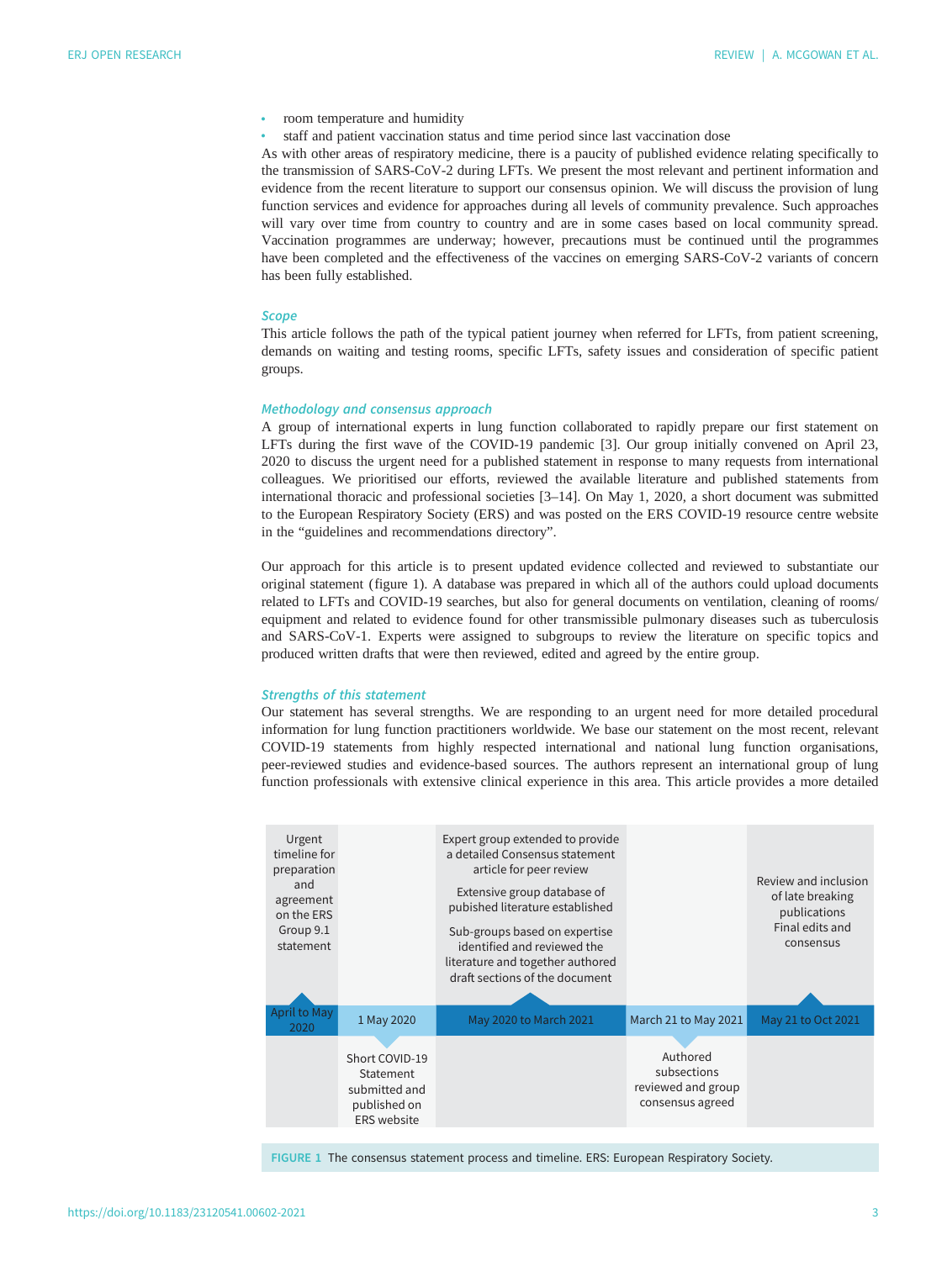- room temperature and humidity
- staff and patient vaccination status and time period since last vaccination dose

As with other areas of respiratory medicine, there is a paucity of published evidence relating specifically to the transmission of SARS-CoV-2 during LFTs. We present the most relevant and pertinent information and evidence from the recent literature to support our consensus opinion. We will discuss the provision of lung function services and evidence for approaches during all levels of community prevalence. Such approaches will vary over time from country to country and are in some cases based on local community spread. Vaccination programmes are underway; however, precautions must be continued until the programmes have been completed and the effectiveness of the vaccines on emerging SARS-CoV-2 variants of concern has been fully established.

#### **Scope**

This article follows the path of the typical patient journey when referred for LFTs, from patient screening, demands on waiting and testing rooms, specific LFTs, safety issues and consideration of specific patient groups.

## Methodology and consensus approach

A group of international experts in lung function collaborated to rapidly prepare our first statement on LFTs during the first wave of the COVID-19 pandemic [[3](#page-20-0)]. Our group initially convened on April 23, 2020 to discuss the urgent need for a published statement in response to many requests from international colleagues. We prioritised our efforts, reviewed the available literature and published statements from international thoracic and professional societies [\[3](#page-20-0)–[14](#page-21-0)]. On May 1, 2020, a short document was submitted to the European Respiratory Society (ERS) and was posted on the ERS COVID-19 resource centre website in the "guidelines and recommendations directory".

Our approach for this article is to present updated evidence collected and reviewed to substantiate our original statement (figure 1). A database was prepared in which all of the authors could upload documents related to LFTs and COVID-19 searches, but also for general documents on ventilation, cleaning of rooms/ equipment and related to evidence found for other transmissible pulmonary diseases such as tuberculosis and SARS-CoV-1. Experts were assigned to subgroups to review the literature on specific topics and produced written drafts that were then reviewed, edited and agreed by the entire group.

#### Strengths of this statement

Our statement has several strengths. We are responding to an urgent need for more detailed procedural information for lung function practitioners worldwide. We base our statement on the most recent, relevant COVID-19 statements from highly respected international and national lung function organisations, peer-reviewed studies and evidence-based sources. The authors represent an international group of lung function professionals with extensive clinical experience in this area. This article provides a more detailed

| Urgent<br>timeline for<br>preparation<br>and<br>agreement<br>on the ERS<br>Group 9.1<br>statement |                                                                                    | Expert group extended to provide<br>a detailed Consensus statement<br>article for peer review<br>Extensive group database of<br>pubished literature established<br>Sub-groups based on expertise<br>identified and reviewed the<br>literature and together authored<br>draft sections of the document |                                                                   | Review and inclusion<br>of late breaking<br>publications<br>Final edits and<br>consensus |
|---------------------------------------------------------------------------------------------------|------------------------------------------------------------------------------------|-------------------------------------------------------------------------------------------------------------------------------------------------------------------------------------------------------------------------------------------------------------------------------------------------------|-------------------------------------------------------------------|------------------------------------------------------------------------------------------|
| April to May<br>2020                                                                              | 1 May 2020                                                                         | May 2020 to March 2021                                                                                                                                                                                                                                                                                | March 21 to May 2021                                              | May 21 to Oct 2021                                                                       |
|                                                                                                   | Short COVID-19<br>Statement<br>submitted and<br>published on<br><b>ERS</b> website |                                                                                                                                                                                                                                                                                                       | Authored<br>subsections<br>reviewed and group<br>consensus agreed |                                                                                          |

FIGURE 1 The consensus statement process and timeline. ERS: European Respiratory Society.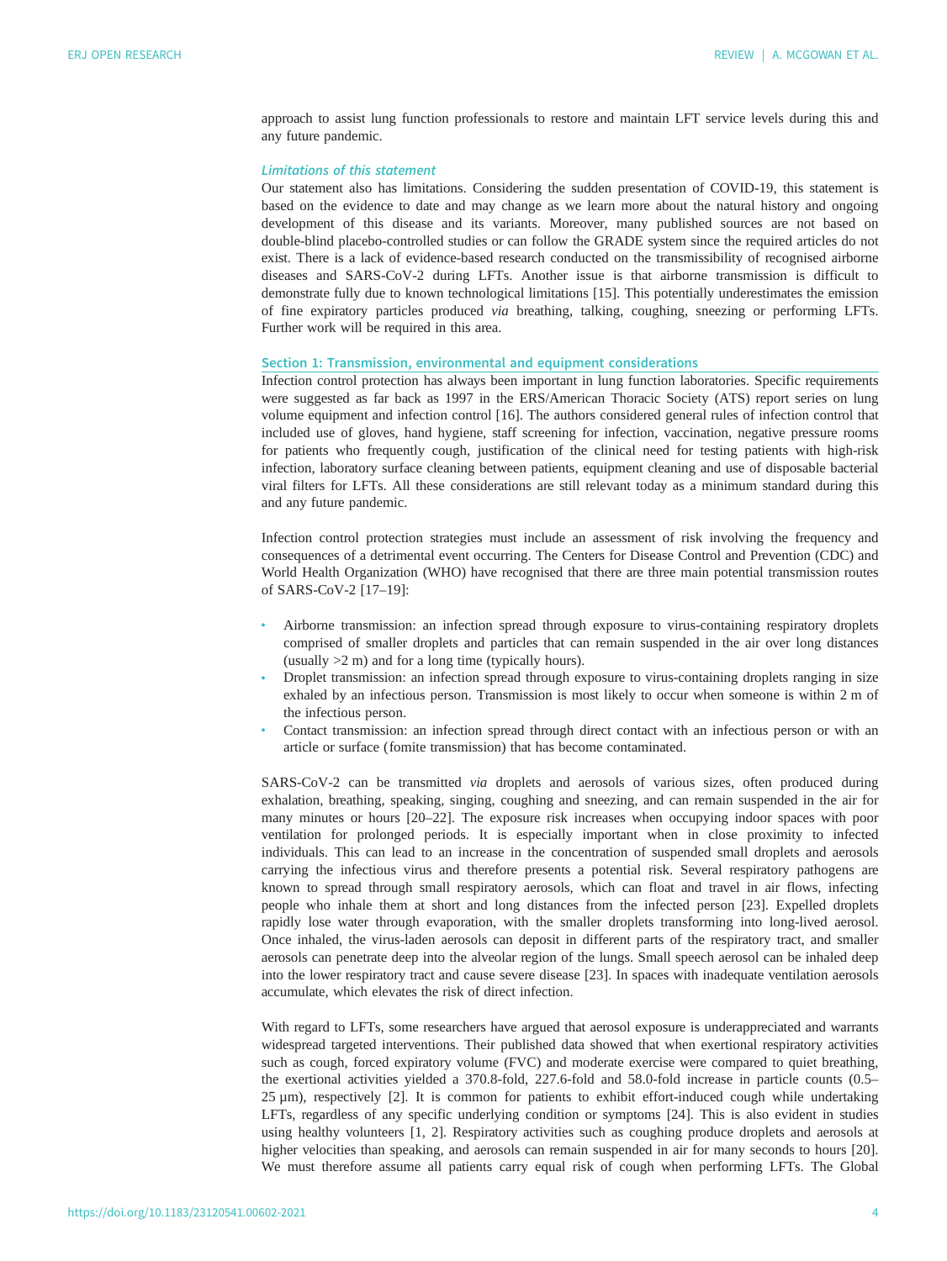approach to assist lung function professionals to restore and maintain LFT service levels during this and any future pandemic.

# Limitations of this statement

Our statement also has limitations. Considering the sudden presentation of COVID-19, this statement is based on the evidence to date and may change as we learn more about the natural history and ongoing development of this disease and its variants. Moreover, many published sources are not based on double-blind placebo-controlled studies or can follow the GRADE system since the required articles do not exist. There is a lack of evidence-based research conducted on the transmissibility of recognised airborne diseases and SARS-CoV-2 during LFTs. Another issue is that airborne transmission is difficult to demonstrate fully due to known technological limitations [[15\]](#page-21-0). This potentially underestimates the emission of fine expiratory particles produced via breathing, talking, coughing, sneezing or performing LFTs. Further work will be required in this area.

# Section 1: Transmission, environmental and equipment considerations

Infection control protection has always been important in lung function laboratories. Specific requirements were suggested as far back as 1997 in the ERS/American Thoracic Society (ATS) report series on lung volume equipment and infection control [[16\]](#page-21-0). The authors considered general rules of infection control that included use of gloves, hand hygiene, staff screening for infection, vaccination, negative pressure rooms for patients who frequently cough, justification of the clinical need for testing patients with high-risk infection, laboratory surface cleaning between patients, equipment cleaning and use of disposable bacterial viral filters for LFTs. All these considerations are still relevant today as a minimum standard during this and any future pandemic.

Infection control protection strategies must include an assessment of risk involving the frequency and consequences of a detrimental event occurring. The Centers for Disease Control and Prevention (CDC) and World Health Organization (WHO) have recognised that there are three main potential transmission routes of SARS-CoV-2 [[17](#page-21-0)–[19](#page-21-0)]:

- Airborne transmission: an infection spread through exposure to virus-containing respiratory droplets comprised of smaller droplets and particles that can remain suspended in the air over long distances (usually >2 m) and for a long time (typically hours).
- Droplet transmission: an infection spread through exposure to virus-containing droplets ranging in size exhaled by an infectious person. Transmission is most likely to occur when someone is within 2 m of the infectious person.
- Contact transmission: an infection spread through direct contact with an infectious person or with an article or surface (fomite transmission) that has become contaminated.

SARS-CoV-2 can be transmitted via droplets and aerosols of various sizes, often produced during exhalation, breathing, speaking, singing, coughing and sneezing, and can remain suspended in the air for many minutes or hours [[20](#page-21-0)–[22](#page-21-0)]. The exposure risk increases when occupying indoor spaces with poor ventilation for prolonged periods. It is especially important when in close proximity to infected individuals. This can lead to an increase in the concentration of suspended small droplets and aerosols carrying the infectious virus and therefore presents a potential risk. Several respiratory pathogens are known to spread through small respiratory aerosols, which can float and travel in air flows, infecting people who inhale them at short and long distances from the infected person [[23\]](#page-21-0). Expelled droplets rapidly lose water through evaporation, with the smaller droplets transforming into long-lived aerosol. Once inhaled, the virus-laden aerosols can deposit in different parts of the respiratory tract, and smaller aerosols can penetrate deep into the alveolar region of the lungs. Small speech aerosol can be inhaled deep into the lower respiratory tract and cause severe disease [[23\]](#page-21-0). In spaces with inadequate ventilation aerosols accumulate, which elevates the risk of direct infection.

With regard to LFTs, some researchers have argued that aerosol exposure is underappreciated and warrants widespread targeted interventions. Their published data showed that when exertional respiratory activities such as cough, forced expiratory volume (FVC) and moderate exercise were compared to quiet breathing, the exertional activities yielded a 370.8-fold, 227.6-fold and 58.0-fold increase in particle counts (0.5– 25 µm), respectively [\[2\]](#page-20-0). It is common for patients to exhibit effort-induced cough while undertaking LFTs, regardless of any specific underlying condition or symptoms [\[24](#page-21-0)]. This is also evident in studies using healthy volunteers [\[1](#page-20-0), [2\]](#page-20-0). Respiratory activities such as coughing produce droplets and aerosols at higher velocities than speaking, and aerosols can remain suspended in air for many seconds to hours [[20\]](#page-21-0). We must therefore assume all patients carry equal risk of cough when performing LFTs. The Global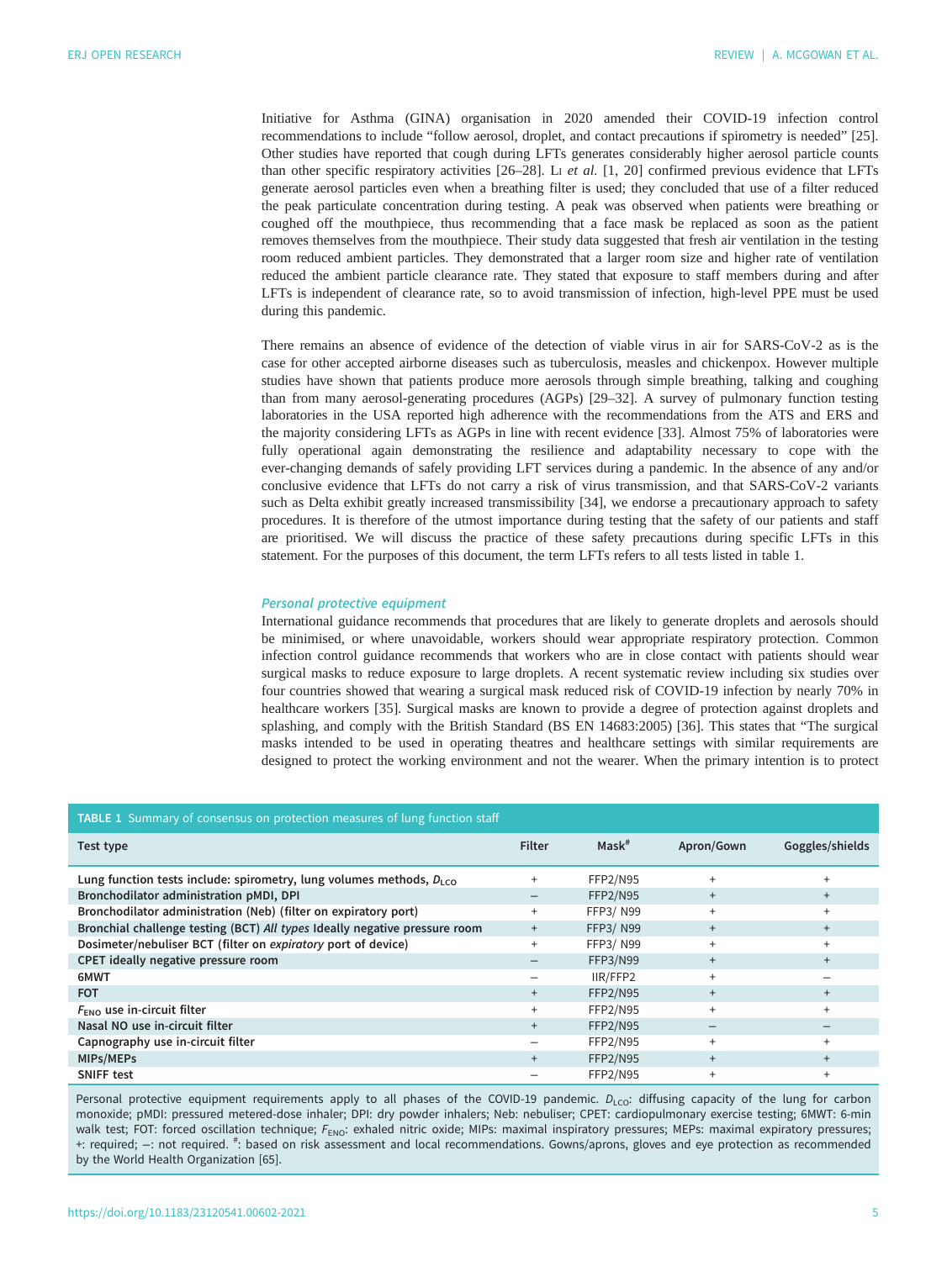<span id="page-5-0"></span>Initiative for Asthma (GINA) organisation in 2020 amended their COVID-19 infection control recommendations to include "follow aerosol, droplet, and contact precautions if spirometry is needed" [[25\]](#page-21-0). Other studies have reported that cough during LFTs generates considerably higher aerosol particle counts than other specific respiratory activities  $[26–28]$  $[26–28]$  $[26–28]$ . L<sub>1</sub> et al.  $[1, 20]$  $[1, 20]$  confirmed previous evidence that LFTs generate aerosol particles even when a breathing filter is used; they concluded that use of a filter reduced the peak particulate concentration during testing. A peak was observed when patients were breathing or coughed off the mouthpiece, thus recommending that a face mask be replaced as soon as the patient removes themselves from the mouthpiece. Their study data suggested that fresh air ventilation in the testing room reduced ambient particles. They demonstrated that a larger room size and higher rate of ventilation reduced the ambient particle clearance rate. They stated that exposure to staff members during and after LFTs is independent of clearance rate, so to avoid transmission of infection, high-level PPE must be used during this pandemic.

There remains an absence of evidence of the detection of viable virus in air for SARS-CoV-2 as is the case for other accepted airborne diseases such as tuberculosis, measles and chickenpox. However multiple studies have shown that patients produce more aerosols through simple breathing, talking and coughing than from many aerosol-generating procedures (AGPs) [[29](#page-21-0)–[32](#page-21-0)]. A survey of pulmonary function testing laboratories in the USA reported high adherence with the recommendations from the ATS and ERS and the majority considering LFTs as AGPs in line with recent evidence [[33\]](#page-21-0). Almost 75% of laboratories were fully operational again demonstrating the resilience and adaptability necessary to cope with the ever-changing demands of safely providing LFT services during a pandemic. In the absence of any and/or conclusive evidence that LFTs do not carry a risk of virus transmission, and that SARS-CoV-2 variants such as Delta exhibit greatly increased transmissibility [[34\]](#page-21-0), we endorse a precautionary approach to safety procedures. It is therefore of the utmost importance during testing that the safety of our patients and staff are prioritised. We will discuss the practice of these safety precautions during specific LFTs in this statement. For the purposes of this document, the term LFTs refers to all tests listed in [table 1.](#page-7-0)

#### Personal protective equipment

International guidance recommends that procedures that are likely to generate droplets and aerosols should be minimised, or where unavoidable, workers should wear appropriate respiratory protection. Common infection control guidance recommends that workers who are in close contact with patients should wear surgical masks to reduce exposure to large droplets. A recent systematic review including six studies over four countries showed that wearing a surgical mask reduced risk of COVID-19 infection by nearly 70% in healthcare workers [[35](#page-21-0)]. Surgical masks are known to provide a degree of protection against droplets and splashing, and comply with the British Standard (BS EN 14683:2005) [[36\]](#page-22-0). This states that "The surgical masks intended to be used in operating theatres and healthcare settings with similar requirements are designed to protect the working environment and not the wearer. When the primary intention is to protect

| <b>TABLE 1</b> Summary of consensus on protection measures of lung function staff |           |                 |            |                 |  |
|-----------------------------------------------------------------------------------|-----------|-----------------|------------|-----------------|--|
| Test type                                                                         | Filter    | $Mask^*$        | Apron/Gown | Goggles/shields |  |
| Lung function tests include: spirometry, lung volumes methods, $D_{1,0}$          | $+$       | FFP2/N95        | $+$        |                 |  |
| Bronchodilator administration pMDI, DPI                                           |           | <b>FFP2/N95</b> | $+$        | $+$             |  |
| Bronchodilator administration (Neb) (filter on expiratory port)                   | $+$       | FFP3/N99        | $\ddot{}$  | $+$             |  |
| Bronchial challenge testing (BCT) All types Ideally negative pressure room        | $+$       | <b>FFP3/N99</b> | $\ddot{}$  |                 |  |
| Dosimeter/nebuliser BCT (filter on expiratory port of device)                     | $+$       | FFP3/N99        | $\ddot{}$  |                 |  |
| CPET ideally negative pressure room                                               |           | <b>FFP3/N99</b> | $+$        |                 |  |
| 6MWT                                                                              |           | IIR/FFP2        | $\ddot{}$  |                 |  |
| <b>FOT</b>                                                                        | $+$       | <b>FFP2/N95</b> | $^{+}$     |                 |  |
| $F_{\text{ENO}}$ use in-circuit filter                                            | $\ddot{}$ | FFP2/N95        | $\ddot{}$  |                 |  |
| Nasal NO use in-circuit filter                                                    | $+$       | <b>FFP2/N95</b> |            |                 |  |
| Capnography use in-circuit filter                                                 |           | <b>FFP2/N95</b> | $\ddot{}$  |                 |  |
| MIPs/MEPs                                                                         | $+$       | <b>FFP2/N95</b> | $+$        | $+$             |  |
| <b>SNIFF test</b>                                                                 |           | <b>FFP2/N95</b> | $\ddot{}$  |                 |  |

Personal protective equipment requirements apply to all phases of the COVID-19 pandemic. D<sub>LCO</sub>: diffusing capacity of the lung for carbon monoxide; pMDI: pressured metered-dose inhaler; DPI: dry powder inhalers; Neb: nebuliser; CPET: cardiopulmonary exercise testing; 6MWT: 6-min walk test; FOT: forced oscillation technique; FENO: exhaled nitric oxide; MIPs: maximal inspiratory pressures; MEPs: maximal expiratory pressures; +: required; −: not required. # : based on risk assessment and local recommendations. Gowns/aprons, gloves and eye protection as recommended by the World Health Organization [\[65\]](#page-23-0).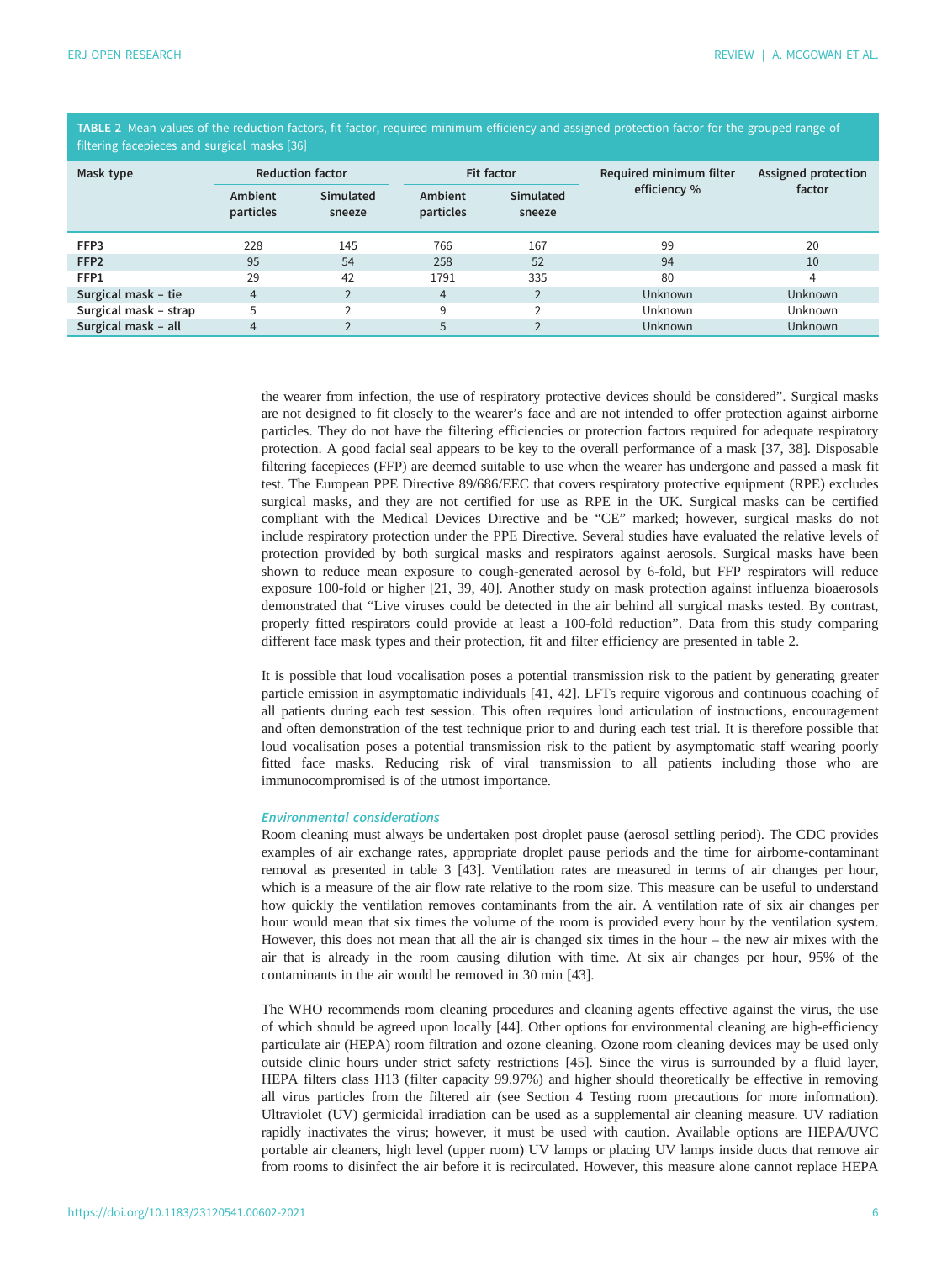<span id="page-6-0"></span>TABLE 2 Mean values of the reduction factors, fit factor, required minimum efficiency and assigned protection factor for the grouped range of filtering facepieces and surgical masks [[36\]](#page-22-0)

| Mask type             |                      | <b>Reduction factor</b>    |                      | Fit factor          | Required minimum filter | Assigned protection |
|-----------------------|----------------------|----------------------------|----------------------|---------------------|-------------------------|---------------------|
|                       | Ambient<br>particles | <b>Simulated</b><br>sneeze | Ambient<br>particles | Simulated<br>sneeze | efficiency %            | factor              |
| FFP3                  | 228                  | 145                        | 766                  | 167                 | 99                      | 20                  |
| FFP <sub>2</sub>      | 95                   | 54                         | 258                  | 52                  | 94                      | 10                  |
| FFP1                  | 29                   | 42                         | 1791                 | 335                 | 80                      | 4                   |
| Surgical mask - tie   | 4                    |                            | $\overline{4}$       |                     | <b>Unknown</b>          | <b>Unknown</b>      |
| Surgical mask - strap | 5                    | $\mathcal{L}$              | 9                    | <sup>1</sup>        | <b>Unknown</b>          | <b>Unknown</b>      |
| Surgical mask - all   | 4                    |                            | 5                    |                     | <b>Unknown</b>          | Unknown             |

the wearer from infection, the use of respiratory protective devices should be considered". Surgical masks are not designed to fit closely to the wearer's face and are not intended to offer protection against airborne particles. They do not have the filtering efficiencies or protection factors required for adequate respiratory protection. A good facial seal appears to be key to the overall performance of a mask [[37, 38](#page-22-0)]. Disposable filtering facepieces (FFP) are deemed suitable to use when the wearer has undergone and passed a mask fit test. The European PPE Directive 89/686/EEC that covers respiratory protective equipment (RPE) excludes surgical masks, and they are not certified for use as RPE in the UK. Surgical masks can be certified compliant with the Medical Devices Directive and be "CE" marked; however, surgical masks do not include respiratory protection under the PPE Directive. Several studies have evaluated the relative levels of protection provided by both surgical masks and respirators against aerosols. Surgical masks have been shown to reduce mean exposure to cough-generated aerosol by 6-fold, but FFP respirators will reduce exposure 100-fold or higher [\[21](#page-21-0), [39, 40](#page-22-0)]. Another study on mask protection against influenza bioaerosols demonstrated that "Live viruses could be detected in the air behind all surgical masks tested. By contrast, properly fitted respirators could provide at least a 100-fold reduction". Data from this study comparing different face mask types and their protection, fit and filter efficiency are presented in [table 2.](#page-5-0)

It is possible that loud vocalisation poses a potential transmission risk to the patient by generating greater particle emission in asymptomatic individuals [[41, 42\]](#page-22-0). LFTs require vigorous and continuous coaching of all patients during each test session. This often requires loud articulation of instructions, encouragement and often demonstration of the test technique prior to and during each test trial. It is therefore possible that loud vocalisation poses a potential transmission risk to the patient by asymptomatic staff wearing poorly fitted face masks. Reducing risk of viral transmission to all patients including those who are immunocompromised is of the utmost importance.

#### Environmental considerations

Room cleaning must always be undertaken post droplet pause (aerosol settling period). The CDC provides examples of air exchange rates, appropriate droplet pause periods and the time for airborne-contaminant removal as presented in table 3 [[43\]](#page-22-0). Ventilation rates are measured in terms of air changes per hour, which is a measure of the air flow rate relative to the room size. This measure can be useful to understand how quickly the ventilation removes contaminants from the air. A ventilation rate of six air changes per hour would mean that six times the volume of the room is provided every hour by the ventilation system. However, this does not mean that all the air is changed six times in the hour – the new air mixes with the air that is already in the room causing dilution with time. At six air changes per hour, 95% of the contaminants in the air would be removed in 30 min [[43\]](#page-22-0).

The WHO recommends room cleaning procedures and cleaning agents effective against the virus, the use of which should be agreed upon locally [\[44](#page-22-0)]. Other options for environmental cleaning are high-efficiency particulate air (HEPA) room filtration and ozone cleaning. Ozone room cleaning devices may be used only outside clinic hours under strict safety restrictions [[45\]](#page-22-0). Since the virus is surrounded by a fluid layer, HEPA filters class H13 (filter capacity 99.97%) and higher should theoretically be effective in removing all virus particles from the filtered air (see Section 4 Testing room precautions for more information). Ultraviolet (UV) germicidal irradiation can be used as a supplemental air cleaning measure. UV radiation rapidly inactivates the virus; however, it must be used with caution. Available options are HEPA/UVC portable air cleaners, high level (upper room) UV lamps or placing UV lamps inside ducts that remove air from rooms to disinfect the air before it is recirculated. However, this measure alone cannot replace HEPA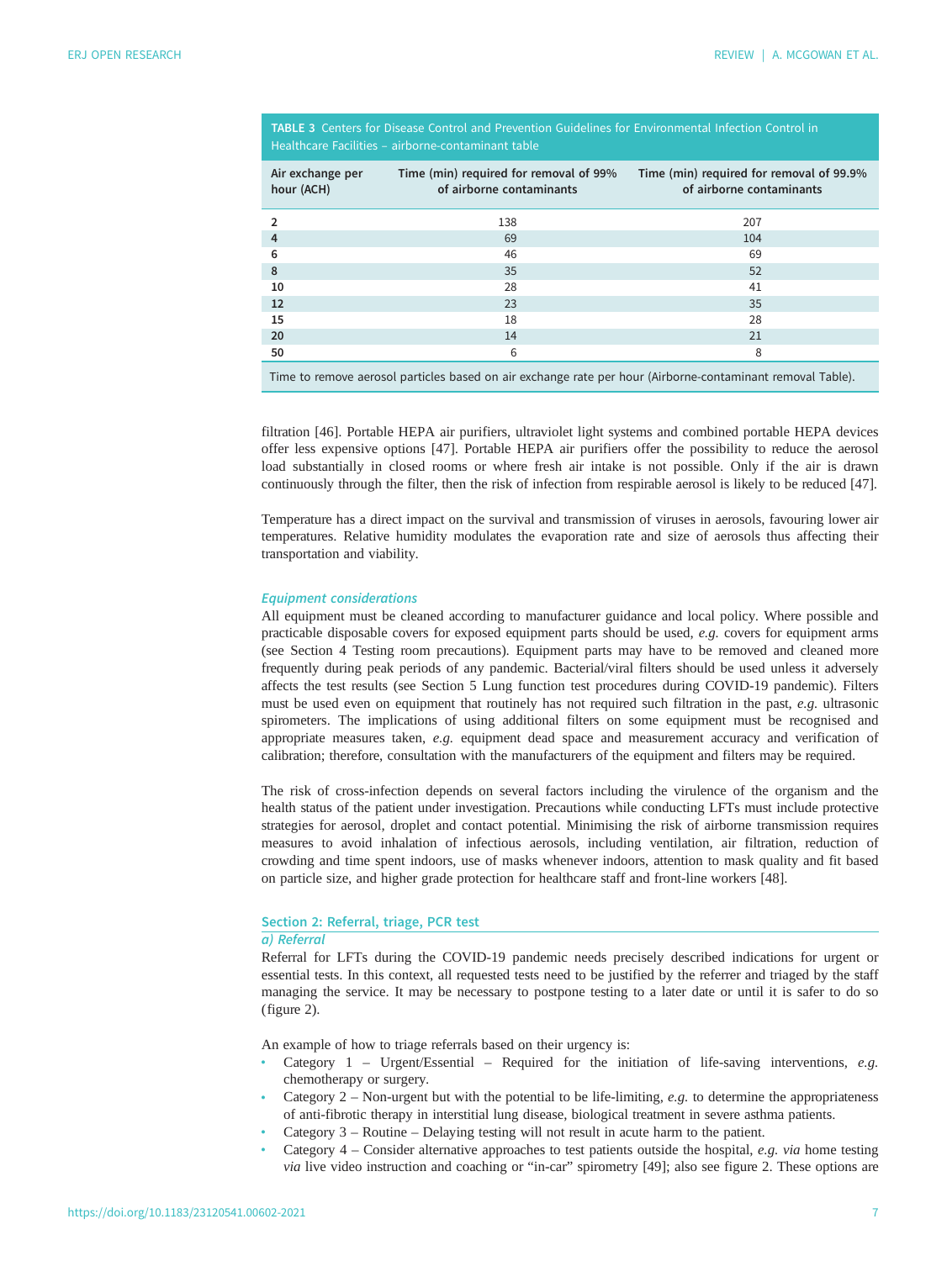| Air exchange per | Time (min) required for removal of 99% | Time (min) required for removal of 99.9% |
|------------------|----------------------------------------|------------------------------------------|
| hour (ACH)       | of airborne contaminants               | of airborne contaminants                 |
|                  | 138                                    | 207                                      |
| $\overline{4}$   | 69                                     | 104                                      |
| 6                | 46                                     | 69                                       |
| 8                | 35                                     | 52                                       |
| 10               | 28                                     | 41                                       |
| 12               | 23                                     | 35                                       |
| 15               | 18                                     | 28                                       |
| 20               | 14                                     | 21                                       |
| 50               | 6                                      | 8                                        |
|                  |                                        |                                          |

<span id="page-7-0"></span>TABLE 3 Centers for Disease Control and Prevention Guidelines for Environmental Infection Control in are Facilities – airborne-contaminant table

Time to remove aerosol particles based on air exchange rate per hour (Airborne-contaminant removal Table).

filtration [[46\]](#page-22-0). Portable HEPA air purifiers, ultraviolet light systems and combined portable HEPA devices offer less expensive options [\[47](#page-22-0)]. Portable HEPA air purifiers offer the possibility to reduce the aerosol load substantially in closed rooms or where fresh air intake is not possible. Only if the air is drawn continuously through the filter, then the risk of infection from respirable aerosol is likely to be reduced [[47\]](#page-22-0).

Temperature has a direct impact on the survival and transmission of viruses in aerosols, favouring lower air temperatures. Relative humidity modulates the evaporation rate and size of aerosols thus affecting their transportation and viability.

#### Equipment considerations

All equipment must be cleaned according to manufacturer guidance and local policy. Where possible and practicable disposable covers for exposed equipment parts should be used, e.g. covers for equipment arms (see Section 4 Testing room precautions). Equipment parts may have to be removed and cleaned more frequently during peak periods of any pandemic. Bacterial/viral filters should be used unless it adversely affects the test results (see Section 5 Lung function test procedures during COVID-19 pandemic). Filters must be used even on equipment that routinely has not required such filtration in the past, e.g. ultrasonic spirometers. The implications of using additional filters on some equipment must be recognised and appropriate measures taken, e.g. equipment dead space and measurement accuracy and verification of calibration; therefore, consultation with the manufacturers of the equipment and filters may be required.

The risk of cross-infection depends on several factors including the virulence of the organism and the health status of the patient under investigation. Precautions while conducting LFTs must include protective strategies for aerosol, droplet and contact potential. Minimising the risk of airborne transmission requires measures to avoid inhalation of infectious aerosols, including ventilation, air filtration, reduction of crowding and time spent indoors, use of masks whenever indoors, attention to mask quality and fit based on particle size, and higher grade protection for healthcare staff and front-line workers [\[48](#page-22-0)].

# Section 2: Referral, triage, PCR test

# a) Referral

Referral for LFTs during the COVID-19 pandemic needs precisely described indications for urgent or essential tests. In this context, all requested tests need to be justified by the referrer and triaged by the staff managing the service. It may be necessary to postpone testing to a later date or until it is safer to do so [\(figure 2](#page-8-0)).

An example of how to triage referrals based on their urgency is:

- Category  $1$  Urgent/Essential Required for the initiation of life-saving interventions, e.g. chemotherapy or surgery.
- Category  $2$  Non-urgent but with the potential to be life-limiting, e.g. to determine the appropriateness of anti-fibrotic therapy in interstitial lung disease, biological treatment in severe asthma patients.
- Category 3 Routine Delaying testing will not result in acute harm to the patient.
- Category  $4$  Consider alternative approaches to test patients outside the hospital, e.g. via home testing via live video instruction and coaching or "in-car" spirometry [\[49](#page-22-0)]; also see [figure 2.](#page-8-0) These options are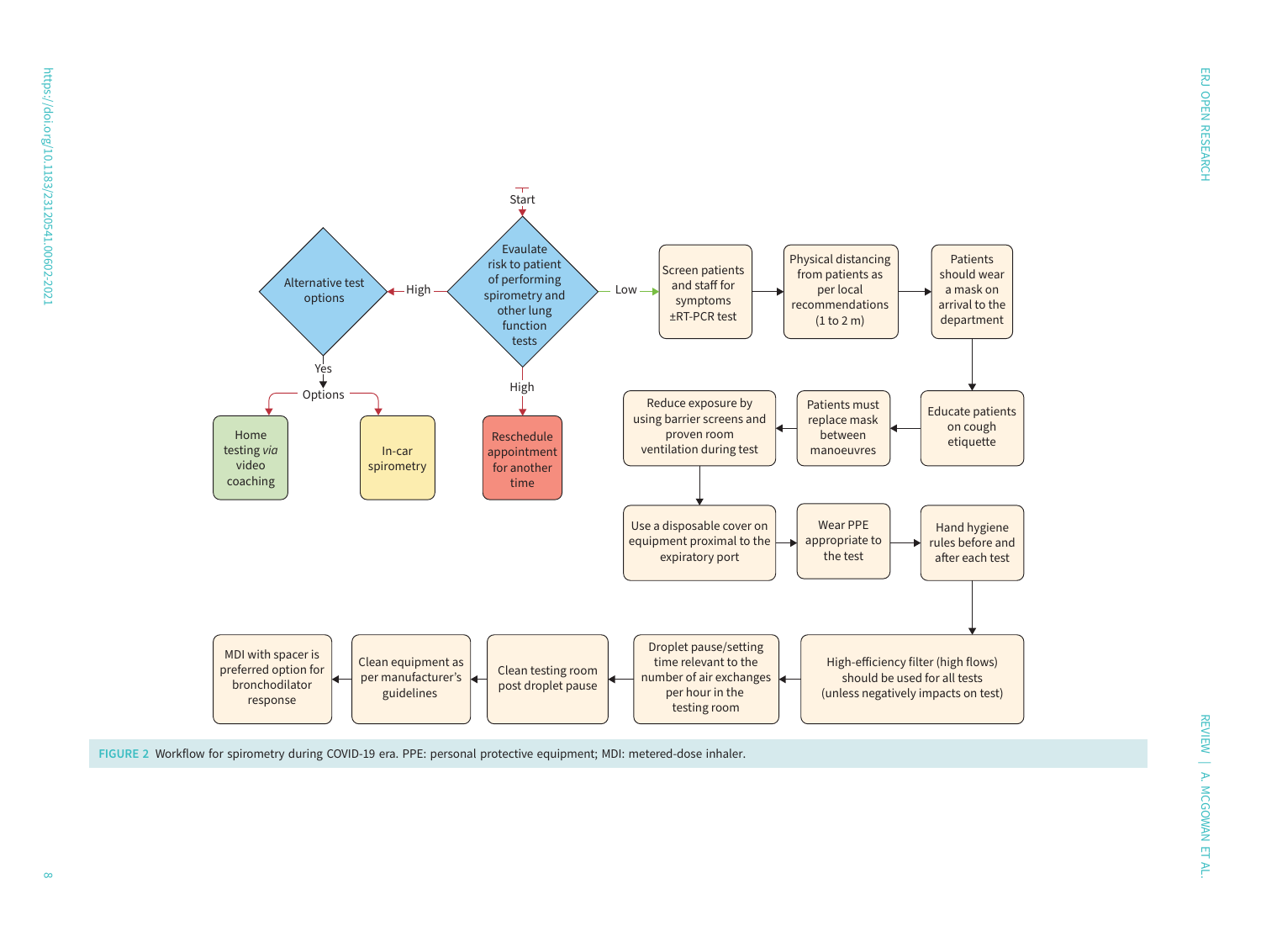<span id="page-8-0"></span>

FIGURE 2 Workflow for spirometry during COVID-19 era. PPE: personal protective equipment; MDI: metered-dose inhaler.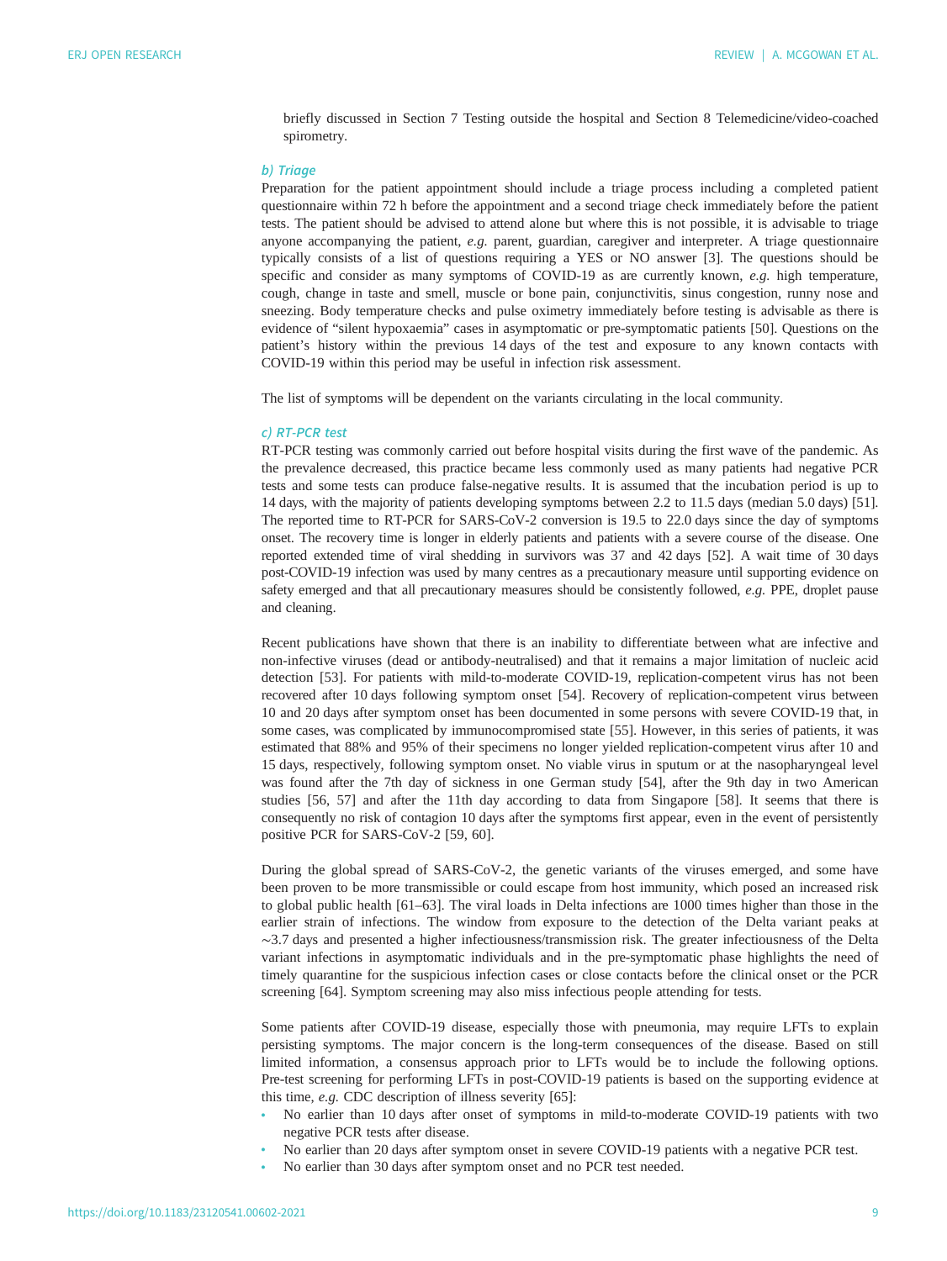briefly discussed in Section 7 Testing outside the hospital and Section 8 Telemedicine/video-coached spirometry.

#### b) Triage

Preparation for the patient appointment should include a triage process including a completed patient questionnaire within 72 h before the appointment and a second triage check immediately before the patient tests. The patient should be advised to attend alone but where this is not possible, it is advisable to triage anyone accompanying the patient,  $e.g.$  parent, guardian, caregiver and interpreter. A triage questionnaire typically consists of a list of questions requiring a YES or NO answer [[3](#page-20-0)]. The questions should be specific and consider as many symptoms of COVID-19 as are currently known, e.g. high temperature, cough, change in taste and smell, muscle or bone pain, conjunctivitis, sinus congestion, runny nose and sneezing. Body temperature checks and pulse oximetry immediately before testing is advisable as there is evidence of "silent hypoxaemia" cases in asymptomatic or pre-symptomatic patients [\[50](#page-22-0)]. Questions on the patient's history within the previous 14 days of the test and exposure to any known contacts with COVID-19 within this period may be useful in infection risk assessment.

The list of symptoms will be dependent on the variants circulating in the local community.

#### c) RT-PCR test

RT-PCR testing was commonly carried out before hospital visits during the first wave of the pandemic. As the prevalence decreased, this practice became less commonly used as many patients had negative PCR tests and some tests can produce false-negative results. It is assumed that the incubation period is up to 14 days, with the majority of patients developing symptoms between 2.2 to 11.5 days (median 5.0 days) [[51\]](#page-22-0). The reported time to RT-PCR for SARS-CoV-2 conversion is 19.5 to 22.0 days since the day of symptoms onset. The recovery time is longer in elderly patients and patients with a severe course of the disease. One reported extended time of viral shedding in survivors was 37 and 42 days [\[52\]](#page-22-0). A wait time of 30 days post-COVID-19 infection was used by many centres as a precautionary measure until supporting evidence on safety emerged and that all precautionary measures should be consistently followed, e.g. PPE, droplet pause and cleaning.

Recent publications have shown that there is an inability to differentiate between what are infective and non-infective viruses (dead or antibody-neutralised) and that it remains a major limitation of nucleic acid detection [[53](#page-22-0)]. For patients with mild-to-moderate COVID-19, replication-competent virus has not been recovered after 10 days following symptom onset [\[54](#page-22-0)]. Recovery of replication-competent virus between 10 and 20 days after symptom onset has been documented in some persons with severe COVID-19 that, in some cases, was complicated by immunocompromised state [[55](#page-22-0)]. However, in this series of patients, it was estimated that 88% and 95% of their specimens no longer yielded replication-competent virus after 10 and 15 days, respectively, following symptom onset. No viable virus in sputum or at the nasopharyngeal level was found after the 7th day of sickness in one German study [[54\]](#page-22-0), after the 9th day in two American studies [\[56](#page-22-0), [57](#page-22-0)] and after the 11th day according to data from Singapore [\[58](#page-22-0)]. It seems that there is consequently no risk of contagion 10 days after the symptoms first appear, even in the event of persistently positive PCR for SARS-CoV-2 [[59, 60\]](#page-22-0).

During the global spread of SARS-CoV-2, the genetic variants of the viruses emerged, and some have been proven to be more transmissible or could escape from host immunity, which posed an increased risk to global public health [\[61](#page-23-0)–[63\]](#page-23-0). The viral loads in Delta infections are 1000 times higher than those in the earlier strain of infections. The window from exposure to the detection of the Delta variant peaks at ∼3.7 days and presented a higher infectiousness/transmission risk. The greater infectiousness of the Delta variant infections in asymptomatic individuals and in the pre-symptomatic phase highlights the need of timely quarantine for the suspicious infection cases or close contacts before the clinical onset or the PCR screening [\[64](#page-23-0)]. Symptom screening may also miss infectious people attending for tests.

Some patients after COVID-19 disease, especially those with pneumonia, may require LFTs to explain persisting symptoms. The major concern is the long-term consequences of the disease. Based on still limited information, a consensus approach prior to LFTs would be to include the following options. Pre-test screening for performing LFTs in post-COVID-19 patients is based on the supporting evidence at this time, e.g. CDC description of illness severity [[65\]](#page-23-0):

- No earlier than 10 days after onset of symptoms in mild-to-moderate COVID-19 patients with two negative PCR tests after disease.
- No earlier than 20 days after symptom onset in severe COVID-19 patients with a negative PCR test.
- No earlier than 30 days after symptom onset and no PCR test needed.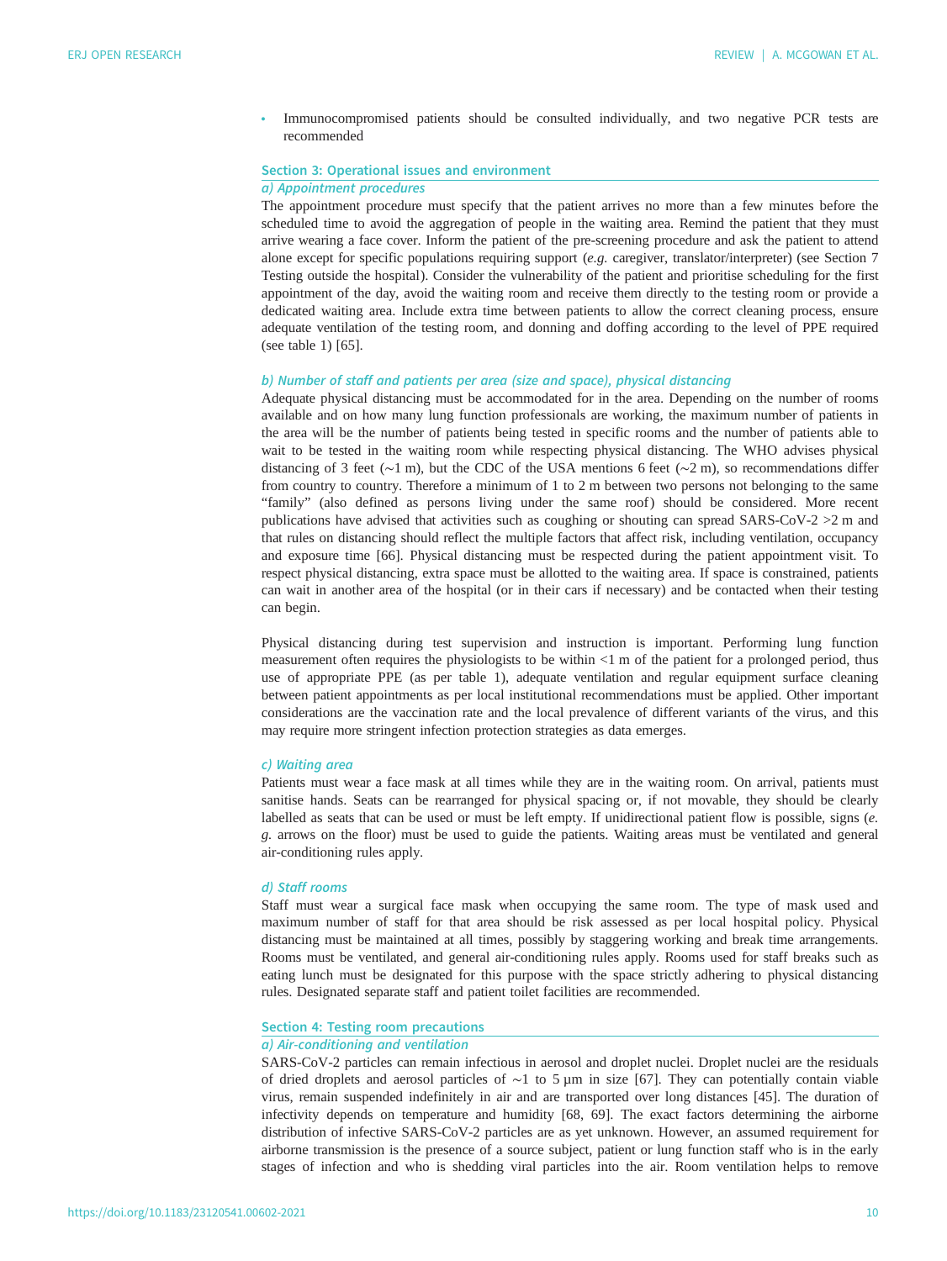• Immunocompromised patients should be consulted individually, and two negative PCR tests are recommended

# Section 3: Operational issues and environment

# a) Appointment procedures

The appointment procedure must specify that the patient arrives no more than a few minutes before the scheduled time to avoid the aggregation of people in the waiting area. Remind the patient that they must arrive wearing a face cover. Inform the patient of the pre-screening procedure and ask the patient to attend alone except for specific populations requiring support  $(e.g.$  caregiver, translator/interpreter) (see Section 7 Testing outside the hospital). Consider the vulnerability of the patient and prioritise scheduling for the first appointment of the day, avoid the waiting room and receive them directly to the testing room or provide a dedicated waiting area. Include extra time between patients to allow the correct cleaning process, ensure adequate ventilation of the testing room, and donning and doffing according to the level of PPE required (see [table 1\)](#page-7-0) [\[65](#page-23-0)].

#### b) Number of staff and patients per area (size and space), physical distancing

Adequate physical distancing must be accommodated for in the area. Depending on the number of rooms available and on how many lung function professionals are working, the maximum number of patients in the area will be the number of patients being tested in specific rooms and the number of patients able to wait to be tested in the waiting room while respecting physical distancing. The WHO advises physical distancing of 3 feet (∼1 m), but the CDC of the USA mentions 6 feet (∼2 m), so recommendations differ from country to country. Therefore a minimum of 1 to 2 m between two persons not belonging to the same "family" (also defined as persons living under the same roof) should be considered. More recent publications have advised that activities such as coughing or shouting can spread SARS-CoV-2 >2 m and that rules on distancing should reflect the multiple factors that affect risk, including ventilation, occupancy and exposure time [[66\]](#page-23-0). Physical distancing must be respected during the patient appointment visit. To respect physical distancing, extra space must be allotted to the waiting area. If space is constrained, patients can wait in another area of the hospital (or in their cars if necessary) and be contacted when their testing can begin.

Physical distancing during test supervision and instruction is important. Performing lung function measurement often requires the physiologists to be within <1 m of the patient for a prolonged period, thus use of appropriate PPE (as per [table 1](#page-7-0)), adequate ventilation and regular equipment surface cleaning between patient appointments as per local institutional recommendations must be applied. Other important considerations are the vaccination rate and the local prevalence of different variants of the virus, and this may require more stringent infection protection strategies as data emerges.

#### c) Waiting area

Patients must wear a face mask at all times while they are in the waiting room. On arrival, patients must sanitise hands. Seats can be rearranged for physical spacing or, if not movable, they should be clearly labelled as seats that can be used or must be left empty. If unidirectional patient flow is possible, signs (e. g. arrows on the floor) must be used to guide the patients. Waiting areas must be ventilated and general air-conditioning rules apply.

#### d) Staff rooms

Staff must wear a surgical face mask when occupying the same room. The type of mask used and maximum number of staff for that area should be risk assessed as per local hospital policy. Physical distancing must be maintained at all times, possibly by staggering working and break time arrangements. Rooms must be ventilated, and general air-conditioning rules apply. Rooms used for staff breaks such as eating lunch must be designated for this purpose with the space strictly adhering to physical distancing rules. Designated separate staff and patient toilet facilities are recommended.

# Section 4: Testing room precautions

# a) Air-conditioning and ventilation

SARS-CoV-2 particles can remain infectious in aerosol and droplet nuclei. Droplet nuclei are the residuals of dried droplets and aerosol particles of ∼1 to 5 µm in size [\[67](#page-23-0)]. They can potentially contain viable virus, remain suspended indefinitely in air and are transported over long distances [\[45](#page-22-0)]. The duration of infectivity depends on temperature and humidity [\[68](#page-23-0), [69\]](#page-23-0). The exact factors determining the airborne distribution of infective SARS-CoV-2 particles are as yet unknown. However, an assumed requirement for airborne transmission is the presence of a source subject, patient or lung function staff who is in the early stages of infection and who is shedding viral particles into the air. Room ventilation helps to remove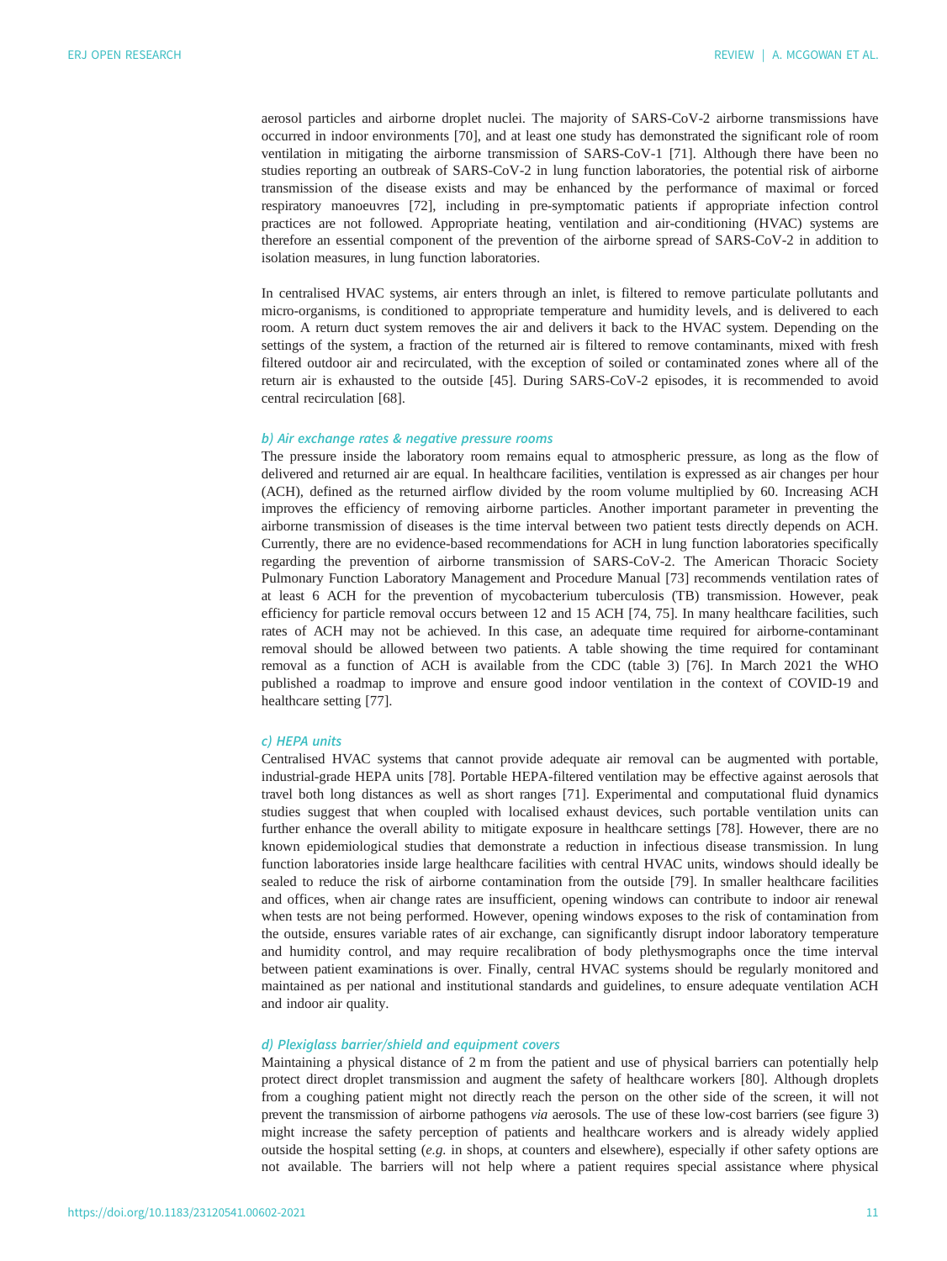aerosol particles and airborne droplet nuclei. The majority of SARS-CoV-2 airborne transmissions have occurred in indoor environments [[70\]](#page-23-0), and at least one study has demonstrated the significant role of room ventilation in mitigating the airborne transmission of SARS-CoV-1 [[71\]](#page-23-0). Although there have been no studies reporting an outbreak of SARS-CoV-2 in lung function laboratories, the potential risk of airborne transmission of the disease exists and may be enhanced by the performance of maximal or forced respiratory manoeuvres [\[72](#page-23-0)], including in pre-symptomatic patients if appropriate infection control practices are not followed. Appropriate heating, ventilation and air-conditioning (HVAC) systems are therefore an essential component of the prevention of the airborne spread of SARS-CoV-2 in addition to isolation measures, in lung function laboratories.

In centralised HVAC systems, air enters through an inlet, is filtered to remove particulate pollutants and micro-organisms, is conditioned to appropriate temperature and humidity levels, and is delivered to each room. A return duct system removes the air and delivers it back to the HVAC system. Depending on the settings of the system, a fraction of the returned air is filtered to remove contaminants, mixed with fresh filtered outdoor air and recirculated, with the exception of soiled or contaminated zones where all of the return air is exhausted to the outside [[45\]](#page-22-0). During SARS-CoV-2 episodes, it is recommended to avoid central recirculation [[68\]](#page-23-0).

# b) Air exchange rates & negative pressure rooms

The pressure inside the laboratory room remains equal to atmospheric pressure, as long as the flow of delivered and returned air are equal. In healthcare facilities, ventilation is expressed as air changes per hour (ACH), defined as the returned airflow divided by the room volume multiplied by 60. Increasing ACH improves the efficiency of removing airborne particles. Another important parameter in preventing the airborne transmission of diseases is the time interval between two patient tests directly depends on ACH. Currently, there are no evidence-based recommendations for ACH in lung function laboratories specifically regarding the prevention of airborne transmission of SARS-CoV-2. The American Thoracic Society Pulmonary Function Laboratory Management and Procedure Manual [[73\]](#page-23-0) recommends ventilation rates of at least 6 ACH for the prevention of mycobacterium tuberculosis (TB) transmission. However, peak efficiency for particle removal occurs between 12 and 15 ACH [\[74](#page-23-0), [75](#page-23-0)]. In many healthcare facilities, such rates of ACH may not be achieved. In this case, an adequate time required for airborne-contaminant removal should be allowed between two patients. A table showing the time required for contaminant removal as a function of ACH is available from the CDC ([table 3](#page-6-0)) [[76\]](#page-23-0). In March 2021 the WHO published a roadmap to improve and ensure good indoor ventilation in the context of COVID-19 and healthcare setting [[77\]](#page-23-0).

#### c) HEPA units

Centralised HVAC systems that cannot provide adequate air removal can be augmented with portable, industrial-grade HEPA units [[78\]](#page-23-0). Portable HEPA-filtered ventilation may be effective against aerosols that travel both long distances as well as short ranges [[71\]](#page-23-0). Experimental and computational fluid dynamics studies suggest that when coupled with localised exhaust devices, such portable ventilation units can further enhance the overall ability to mitigate exposure in healthcare settings [[78\]](#page-23-0). However, there are no known epidemiological studies that demonstrate a reduction in infectious disease transmission. In lung function laboratories inside large healthcare facilities with central HVAC units, windows should ideally be sealed to reduce the risk of airborne contamination from the outside [[79\]](#page-23-0). In smaller healthcare facilities and offices, when air change rates are insufficient, opening windows can contribute to indoor air renewal when tests are not being performed. However, opening windows exposes to the risk of contamination from the outside, ensures variable rates of air exchange, can significantly disrupt indoor laboratory temperature and humidity control, and may require recalibration of body plethysmographs once the time interval between patient examinations is over. Finally, central HVAC systems should be regularly monitored and maintained as per national and institutional standards and guidelines, to ensure adequate ventilation ACH and indoor air quality.

## d) Plexiglass barrier/shield and equipment covers

Maintaining a physical distance of 2 m from the patient and use of physical barriers can potentially help protect direct droplet transmission and augment the safety of healthcare workers [\[80](#page-23-0)]. Although droplets from a coughing patient might not directly reach the person on the other side of the screen, it will not prevent the transmission of airborne pathogens via aerosols. The use of these low-cost barriers (see [figure 3\)](#page-12-0) might increase the safety perception of patients and healthcare workers and is already widely applied outside the hospital setting (e.g. in shops, at counters and elsewhere), especially if other safety options are not available. The barriers will not help where a patient requires special assistance where physical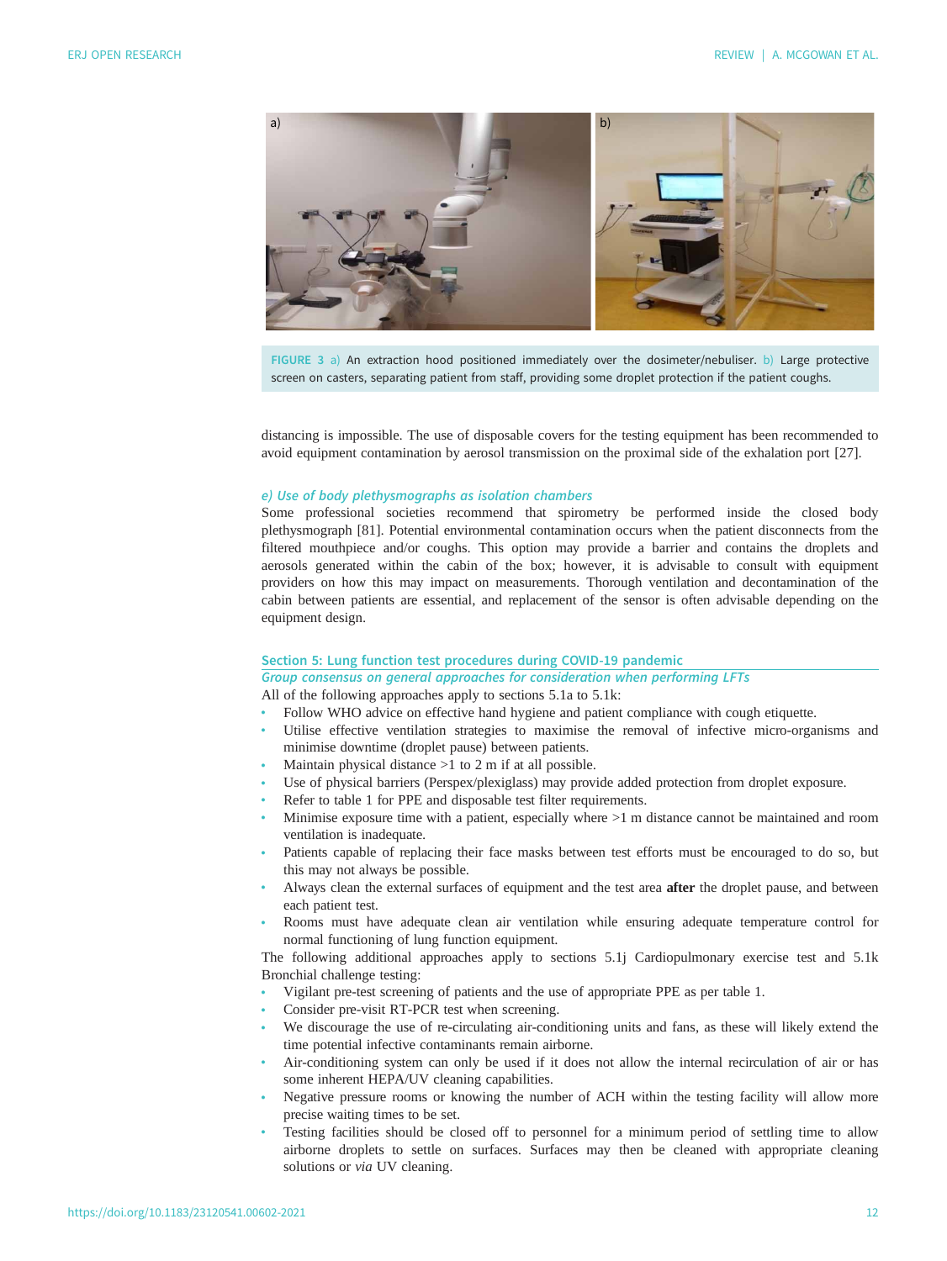<span id="page-12-0"></span>

FIGURE 3 a) An extraction hood positioned immediately over the dosimeter/nebuliser. b) Large protective screen on casters, separating patient from staff, providing some droplet protection if the patient coughs.

distancing is impossible. The use of disposable covers for the testing equipment has been recommended to avoid equipment contamination by aerosol transmission on the proximal side of the exhalation port [\[27](#page-21-0)].

# e) Use of body plethysmographs as isolation chambers

Some professional societies recommend that spirometry be performed inside the closed body plethysmograph [[81\]](#page-23-0). Potential environmental contamination occurs when the patient disconnects from the filtered mouthpiece and/or coughs. This option may provide a barrier and contains the droplets and aerosols generated within the cabin of the box; however, it is advisable to consult with equipment providers on how this may impact on measurements. Thorough ventilation and decontamination of the cabin between patients are essential, and replacement of the sensor is often advisable depending on the equipment design.

# Section 5: Lung function test procedures during COVID-19 pandemic

Group consensus on general approaches for consideration when performing LFTs

All of the following approaches apply to sections 5.1a to 5.1k:

- Follow WHO advice on effective hand hygiene and patient compliance with cough etiquette.
- Utilise effective ventilation strategies to maximise the removal of infective micro-organisms and minimise downtime (droplet pause) between patients.
- Maintain physical distance  $>1$  to 2 m if at all possible.
- Use of physical barriers (Perspex/plexiglass) may provide added protection from droplet exposure.
- Refer to [table 1](#page-7-0) for PPE and disposable test filter requirements.
- Minimise exposure time with a patient, especially where >1 m distance cannot be maintained and room ventilation is inadequate.
- Patients capable of replacing their face masks between test efforts must be encouraged to do so, but this may not always be possible.
- Always clean the external surfaces of equipment and the test area **after** the droplet pause, and between each patient test.
- Rooms must have adequate clean air ventilation while ensuring adequate temperature control for normal functioning of lung function equipment.

The following additional approaches apply to sections 5.1j Cardiopulmonary exercise test and 5.1k Bronchial challenge testing:

- Vigilant pre-test screening of patients and the use of appropriate PPE as per [table 1](#page-7-0).
- Consider pre-visit RT-PCR test when screening.
- We discourage the use of re-circulating air-conditioning units and fans, as these will likely extend the time potential infective contaminants remain airborne.
- Air-conditioning system can only be used if it does not allow the internal recirculation of air or has some inherent HEPA/UV cleaning capabilities.
- Negative pressure rooms or knowing the number of ACH within the testing facility will allow more precise waiting times to be set.
- Testing facilities should be closed off to personnel for a minimum period of settling time to allow airborne droplets to settle on surfaces. Surfaces may then be cleaned with appropriate cleaning solutions or via UV cleaning.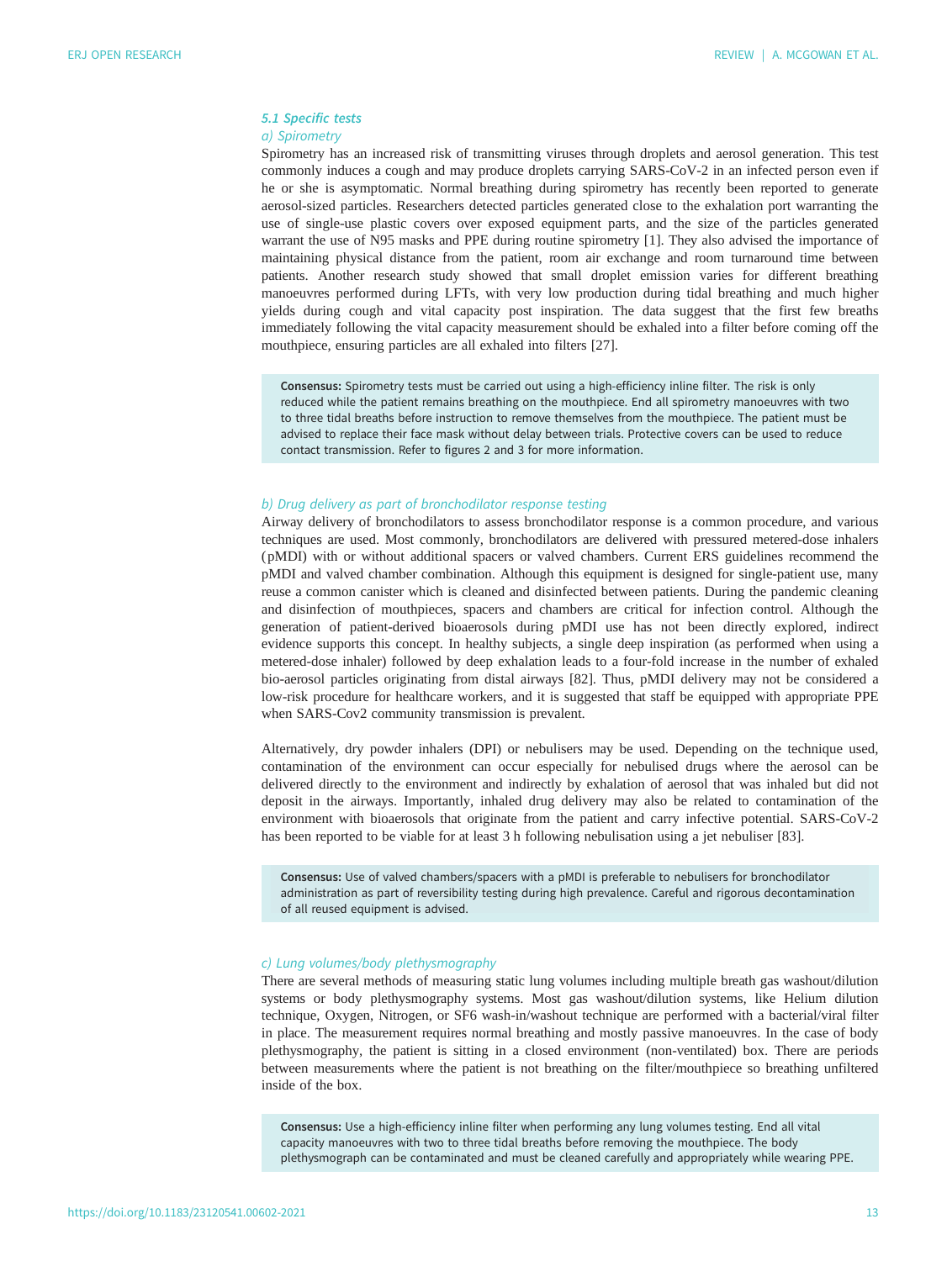# 5.1 Specific tests a) Spirometry

Spirometry has an increased risk of transmitting viruses through droplets and aerosol generation. This test commonly induces a cough and may produce droplets carrying SARS-CoV-2 in an infected person even if he or she is asymptomatic. Normal breathing during spirometry has recently been reported to generate aerosol-sized particles. Researchers detected particles generated close to the exhalation port warranting the use of single-use plastic covers over exposed equipment parts, and the size of the particles generated warrant the use of N95 masks and PPE during routine spirometry [\[1\]](#page-20-0). They also advised the importance of maintaining physical distance from the patient, room air exchange and room turnaround time between patients. Another research study showed that small droplet emission varies for different breathing manoeuvres performed during LFTs, with very low production during tidal breathing and much higher yields during cough and vital capacity post inspiration. The data suggest that the first few breaths immediately following the vital capacity measurement should be exhaled into a filter before coming off the mouthpiece, ensuring particles are all exhaled into filters [[27\]](#page-21-0).

Consensus: Spirometry tests must be carried out using a high-efficiency inline filter. The risk is only reduced while the patient remains breathing on the mouthpiece. End all spirometry manoeuvres with two to three tidal breaths before instruction to remove themselves from the mouthpiece. The patient must be advised to replace their face mask without delay between trials. Protective covers can be used to reduce contact transmission. Refer to [figures 2](#page-8-0) and [3](#page-12-0) for more information.

#### b) Drug delivery as part of bronchodilator response testing

Airway delivery of bronchodilators to assess bronchodilator response is a common procedure, and various techniques are used. Most commonly, bronchodilators are delivered with pressured metered-dose inhalers ( pMDI) with or without additional spacers or valved chambers. Current ERS guidelines recommend the pMDI and valved chamber combination. Although this equipment is designed for single-patient use, many reuse a common canister which is cleaned and disinfected between patients. During the pandemic cleaning and disinfection of mouthpieces, spacers and chambers are critical for infection control. Although the generation of patient-derived bioaerosols during pMDI use has not been directly explored, indirect evidence supports this concept. In healthy subjects, a single deep inspiration (as performed when using a metered-dose inhaler) followed by deep exhalation leads to a four-fold increase in the number of exhaled bio-aerosol particles originating from distal airways [\[82](#page-23-0)]. Thus, pMDI delivery may not be considered a low-risk procedure for healthcare workers, and it is suggested that staff be equipped with appropriate PPE when SARS-Cov2 community transmission is prevalent.

Alternatively, dry powder inhalers (DPI) or nebulisers may be used. Depending on the technique used, contamination of the environment can occur especially for nebulised drugs where the aerosol can be delivered directly to the environment and indirectly by exhalation of aerosol that was inhaled but did not deposit in the airways. Importantly, inhaled drug delivery may also be related to contamination of the environment with bioaerosols that originate from the patient and carry infective potential. SARS-CoV-2 has been reported to be viable for at least 3 h following nebulisation using a jet nebuliser [[83\]](#page-23-0).

Consensus: Use of valved chambers/spacers with a pMDI is preferable to nebulisers for bronchodilator administration as part of reversibility testing during high prevalence. Careful and rigorous decontamination of all reused equipment is advised.

# c) Lung volumes/body plethysmography

There are several methods of measuring static lung volumes including multiple breath gas washout/dilution systems or body plethysmography systems. Most gas washout/dilution systems, like Helium dilution technique, Oxygen, Nitrogen, or SF6 wash-in/washout technique are performed with a bacterial/viral filter in place. The measurement requires normal breathing and mostly passive manoeuvres. In the case of body plethysmography, the patient is sitting in a closed environment (non-ventilated) box. There are periods between measurements where the patient is not breathing on the filter/mouthpiece so breathing unfiltered inside of the box.

Consensus: Use a high-efficiency inline filter when performing any lung volumes testing. End all vital capacity manoeuvres with two to three tidal breaths before removing the mouthpiece. The body plethysmograph can be contaminated and must be cleaned carefully and appropriately while wearing PPE.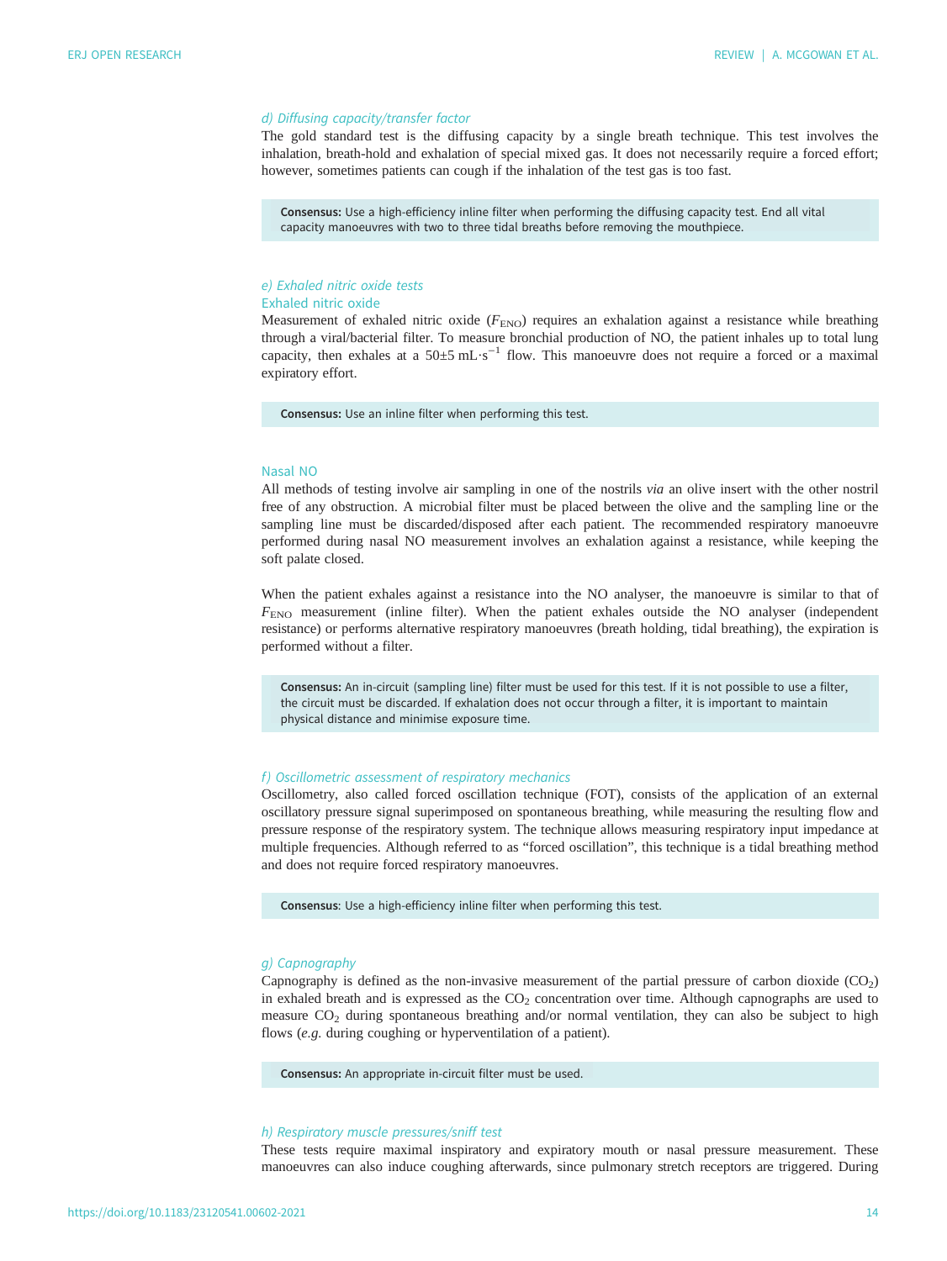# d) Diffusing capacity/transfer factor

The gold standard test is the diffusing capacity by a single breath technique. This test involves the inhalation, breath-hold and exhalation of special mixed gas. It does not necessarily require a forced effort; however, sometimes patients can cough if the inhalation of the test gas is too fast.

Consensus: Use a high-efficiency inline filter when performing the diffusing capacity test. End all vital capacity manoeuvres with two to three tidal breaths before removing the mouthpiece.

## e) Exhaled nitric oxide tests Exhaled nitric oxide

Measurement of exhaled nitric oxide ( $F_{\text{ENO}}$ ) requires an exhalation against a resistance while breathing through a viral/bacterial filter. To measure bronchial production of NO, the patient inhales up to total lung capacity, then exhales at a 50±5 mL⋅s<sup>-1</sup> flow. This manoeuvre does not require a forced or a maximal expiratory effort.

Consensus: Use an inline filter when performing this test.

# Nasal NO

All methods of testing involve air sampling in one of the nostrils via an olive insert with the other nostril free of any obstruction. A microbial filter must be placed between the olive and the sampling line or the sampling line must be discarded/disposed after each patient. The recommended respiratory manoeuvre performed during nasal NO measurement involves an exhalation against a resistance, while keeping the soft palate closed.

When the patient exhales against a resistance into the NO analyser, the manoeuvre is similar to that of  $F_{\text{ENO}}$  measurement (inline filter). When the patient exhales outside the NO analyser (independent resistance) or performs alternative respiratory manoeuvres (breath holding, tidal breathing), the expiration is performed without a filter.

Consensus: An in-circuit (sampling line) filter must be used for this test. If it is not possible to use a filter, the circuit must be discarded. If exhalation does not occur through a filter, it is important to maintain physical distance and minimise exposure time.

# f) Oscillometric assessment of respiratory mechanics

Oscillometry, also called forced oscillation technique (FOT), consists of the application of an external oscillatory pressure signal superimposed on spontaneous breathing, while measuring the resulting flow and pressure response of the respiratory system. The technique allows measuring respiratory input impedance at multiple frequencies. Although referred to as "forced oscillation", this technique is a tidal breathing method and does not require forced respiratory manoeuvres.

Consensus: Use a high-efficiency inline filter when performing this test.

## g) Capnography

Capnography is defined as the non-invasive measurement of the partial pressure of carbon dioxide  $(CO<sub>2</sub>)$ in exhaled breath and is expressed as the  $CO<sub>2</sub>$  concentration over time. Although capnographs are used to measure CO<sub>2</sub> during spontaneous breathing and/or normal ventilation, they can also be subject to high flows (e.g. during coughing or hyperventilation of a patient).

Consensus: An appropriate in-circuit filter must be used.

#### h) Respiratory muscle pressures/sniff test

These tests require maximal inspiratory and expiratory mouth or nasal pressure measurement. These manoeuvres can also induce coughing afterwards, since pulmonary stretch receptors are triggered. During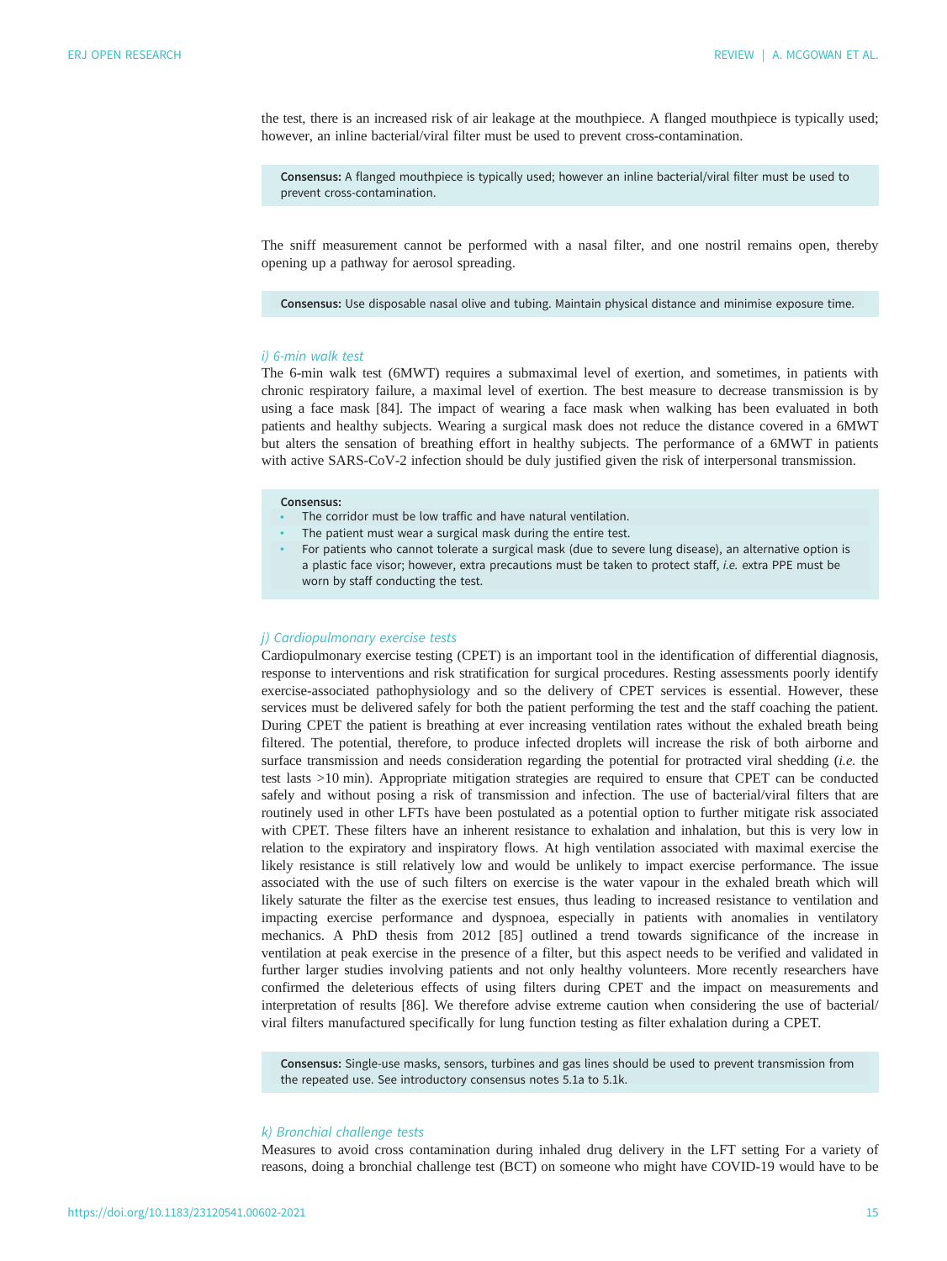the test, there is an increased risk of air leakage at the mouthpiece. A flanged mouthpiece is typically used; however, an inline bacterial/viral filter must be used to prevent cross-contamination.

Consensus: A flanged mouthpiece is typically used; however an inline bacterial/viral filter must be used to prevent cross-contamination.

The sniff measurement cannot be performed with a nasal filter, and one nostril remains open, thereby opening up a pathway for aerosol spreading.

Consensus: Use disposable nasal olive and tubing. Maintain physical distance and minimise exposure time.

#### i) 6-min walk test

The 6-min walk test (6MWT) requires a submaximal level of exertion, and sometimes, in patients with chronic respiratory failure, a maximal level of exertion. The best measure to decrease transmission is by using a face mask [[84\]](#page-23-0). The impact of wearing a face mask when walking has been evaluated in both patients and healthy subjects. Wearing a surgical mask does not reduce the distance covered in a 6MWT but alters the sensation of breathing effort in healthy subjects. The performance of a 6MWT in patients with active SARS-CoV-2 infection should be duly justified given the risk of interpersonal transmission.

#### Consensus:

- The corridor must be low traffic and have natural ventilation.
- The patient must wear a surgical mask during the entire test.
- For patients who cannot tolerate a surgical mask (due to severe lung disease), an alternative option is a plastic face visor; however, extra precautions must be taken to protect staff, i.e. extra PPE must be worn by staff conducting the test.

#### j) Cardiopulmonary exercise tests

Cardiopulmonary exercise testing (CPET) is an important tool in the identification of differential diagnosis, response to interventions and risk stratification for surgical procedures. Resting assessments poorly identify exercise-associated pathophysiology and so the delivery of CPET services is essential. However, these services must be delivered safely for both the patient performing the test and the staff coaching the patient. During CPET the patient is breathing at ever increasing ventilation rates without the exhaled breath being filtered. The potential, therefore, to produce infected droplets will increase the risk of both airborne and surface transmission and needs consideration regarding the potential for protracted viral shedding (i.e. the test lasts >10 min). Appropriate mitigation strategies are required to ensure that CPET can be conducted safely and without posing a risk of transmission and infection. The use of bacterial/viral filters that are routinely used in other LFTs have been postulated as a potential option to further mitigate risk associated with CPET. These filters have an inherent resistance to exhalation and inhalation, but this is very low in relation to the expiratory and inspiratory flows. At high ventilation associated with maximal exercise the likely resistance is still relatively low and would be unlikely to impact exercise performance. The issue associated with the use of such filters on exercise is the water vapour in the exhaled breath which will likely saturate the filter as the exercise test ensues, thus leading to increased resistance to ventilation and impacting exercise performance and dyspnoea, especially in patients with anomalies in ventilatory mechanics. A PhD thesis from 2012 [[85\]](#page-23-0) outlined a trend towards significance of the increase in ventilation at peak exercise in the presence of a filter, but this aspect needs to be verified and validated in further larger studies involving patients and not only healthy volunteers. More recently researchers have confirmed the deleterious effects of using filters during CPET and the impact on measurements and interpretation of results [[86\]](#page-23-0). We therefore advise extreme caution when considering the use of bacterial/ viral filters manufactured specifically for lung function testing as filter exhalation during a CPET.

Consensus: Single-use masks, sensors, turbines and gas lines should be used to prevent transmission from the repeated use. See introductory consensus notes 5.1a to 5.1k.

## k) Bronchial challenge tests

Measures to avoid cross contamination during inhaled drug delivery in the LFT setting For a variety of reasons, doing a bronchial challenge test (BCT) on someone who might have COVID-19 would have to be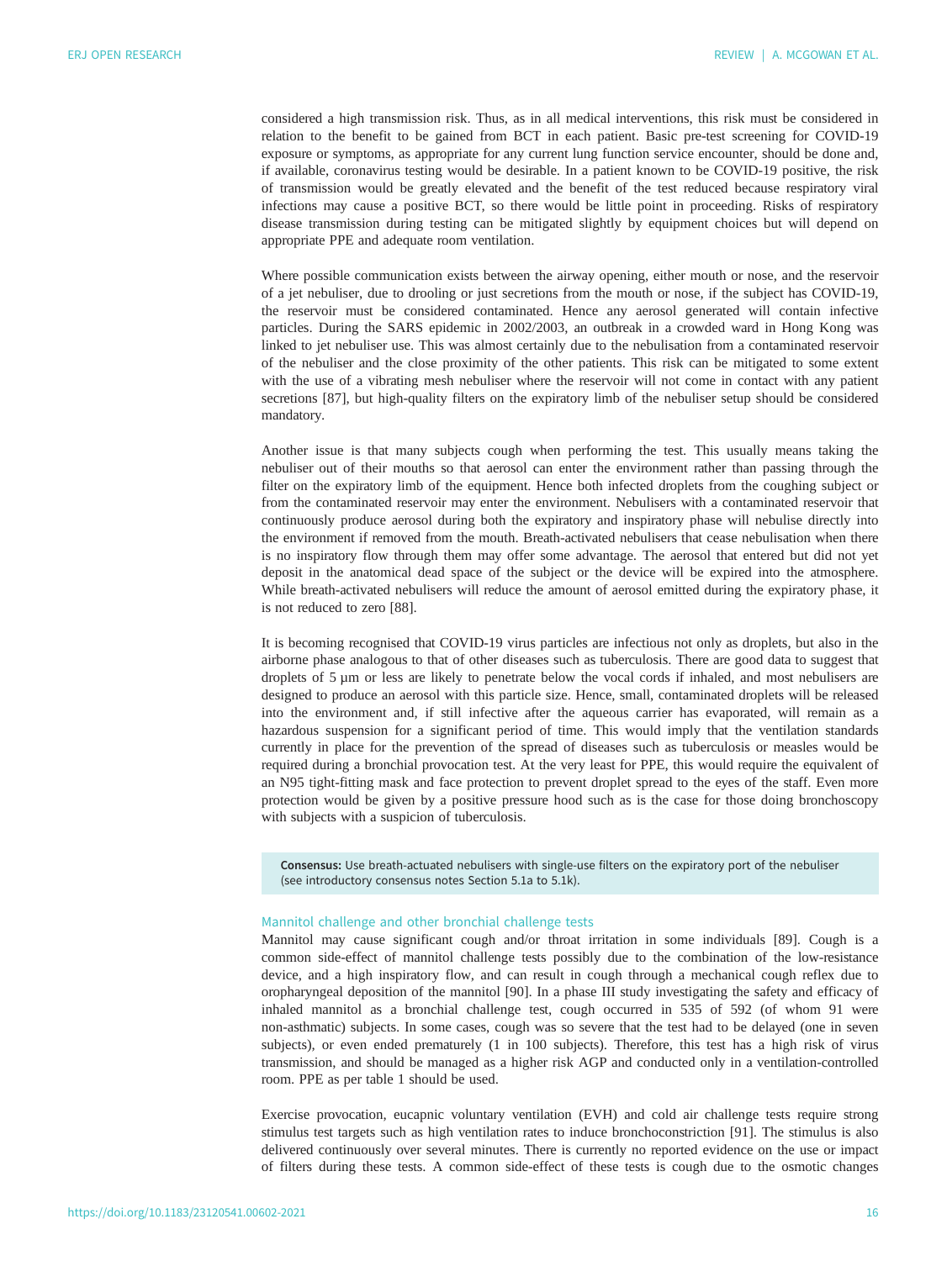considered a high transmission risk. Thus, as in all medical interventions, this risk must be considered in relation to the benefit to be gained from BCT in each patient. Basic pre-test screening for COVID-19 exposure or symptoms, as appropriate for any current lung function service encounter, should be done and, if available, coronavirus testing would be desirable. In a patient known to be COVID-19 positive, the risk of transmission would be greatly elevated and the benefit of the test reduced because respiratory viral infections may cause a positive BCT, so there would be little point in proceeding. Risks of respiratory disease transmission during testing can be mitigated slightly by equipment choices but will depend on appropriate PPE and adequate room ventilation.

Where possible communication exists between the airway opening, either mouth or nose, and the reservoir of a jet nebuliser, due to drooling or just secretions from the mouth or nose, if the subject has COVID-19, the reservoir must be considered contaminated. Hence any aerosol generated will contain infective particles. During the SARS epidemic in 2002/2003, an outbreak in a crowded ward in Hong Kong was linked to jet nebuliser use. This was almost certainly due to the nebulisation from a contaminated reservoir of the nebuliser and the close proximity of the other patients. This risk can be mitigated to some extent with the use of a vibrating mesh nebuliser where the reservoir will not come in contact with any patient secretions [[87\]](#page-23-0), but high-quality filters on the expiratory limb of the nebuliser setup should be considered mandatory.

Another issue is that many subjects cough when performing the test. This usually means taking the nebuliser out of their mouths so that aerosol can enter the environment rather than passing through the filter on the expiratory limb of the equipment. Hence both infected droplets from the coughing subject or from the contaminated reservoir may enter the environment. Nebulisers with a contaminated reservoir that continuously produce aerosol during both the expiratory and inspiratory phase will nebulise directly into the environment if removed from the mouth. Breath-activated nebulisers that cease nebulisation when there is no inspiratory flow through them may offer some advantage. The aerosol that entered but did not yet deposit in the anatomical dead space of the subject or the device will be expired into the atmosphere. While breath-activated nebulisers will reduce the amount of aerosol emitted during the expiratory phase, it is not reduced to zero [\[88](#page-23-0)].

It is becoming recognised that COVID-19 virus particles are infectious not only as droplets, but also in the airborne phase analogous to that of other diseases such as tuberculosis. There are good data to suggest that droplets of 5 µm or less are likely to penetrate below the vocal cords if inhaled, and most nebulisers are designed to produce an aerosol with this particle size. Hence, small, contaminated droplets will be released into the environment and, if still infective after the aqueous carrier has evaporated, will remain as a hazardous suspension for a significant period of time. This would imply that the ventilation standards currently in place for the prevention of the spread of diseases such as tuberculosis or measles would be required during a bronchial provocation test. At the very least for PPE, this would require the equivalent of an N95 tight-fitting mask and face protection to prevent droplet spread to the eyes of the staff. Even more protection would be given by a positive pressure hood such as is the case for those doing bronchoscopy with subjects with a suspicion of tuberculosis.

Consensus: Use breath-actuated nebulisers with single-use filters on the expiratory port of the nebuliser (see introductory consensus notes Section 5.1a to 5.1k).

## Mannitol challenge and other bronchial challenge tests

Mannitol may cause significant cough and/or throat irritation in some individuals [[89\]](#page-24-0). Cough is a common side-effect of mannitol challenge tests possibly due to the combination of the low-resistance device, and a high inspiratory flow, and can result in cough through a mechanical cough reflex due to oropharyngeal deposition of the mannitol [[90\]](#page-24-0). In a phase III study investigating the safety and efficacy of inhaled mannitol as a bronchial challenge test, cough occurred in 535 of 592 (of whom 91 were non-asthmatic) subjects. In some cases, cough was so severe that the test had to be delayed (one in seven subjects), or even ended prematurely (1 in 100 subjects). Therefore, this test has a high risk of virus transmission, and should be managed as a higher risk AGP and conducted only in a ventilation-controlled room. PPE as per [table 1](#page-7-0) should be used.

Exercise provocation, eucapnic voluntary ventilation (EVH) and cold air challenge tests require strong stimulus test targets such as high ventilation rates to induce bronchoconstriction [\[91](#page-24-0)]. The stimulus is also delivered continuously over several minutes. There is currently no reported evidence on the use or impact of filters during these tests. A common side-effect of these tests is cough due to the osmotic changes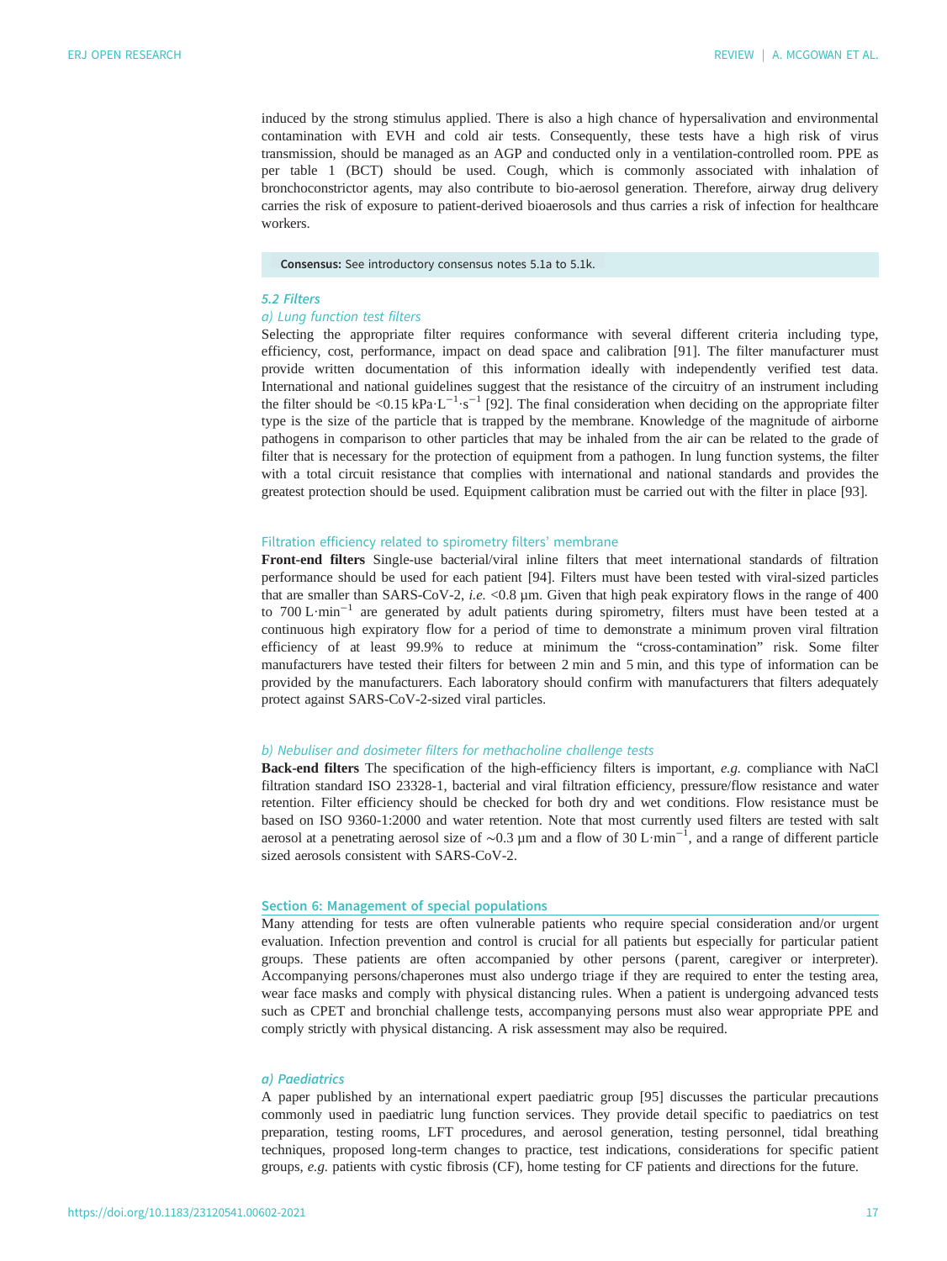induced by the strong stimulus applied. There is also a high chance of hypersalivation and environmental contamination with EVH and cold air tests. Consequently, these tests have a high risk of virus transmission, should be managed as an AGP and conducted only in a ventilation-controlled room. PPE as per [table 1](#page-7-0) (BCT) should be used. Cough, which is commonly associated with inhalation of bronchoconstrictor agents, may also contribute to bio-aerosol generation. Therefore, airway drug delivery carries the risk of exposure to patient-derived bioaerosols and thus carries a risk of infection for healthcare workers.

#### Consensus: See introductory consensus notes 5.1a to 5.1k.

#### 5.2 Filters

# a) Lung function test filters

Selecting the appropriate filter requires conformance with several different criteria including type, efficiency, cost, performance, impact on dead space and calibration [[91\]](#page-24-0). The filter manufacturer must provide written documentation of this information ideally with independently verified test data. International and national guidelines suggest that the resistance of the circuitry of an instrument including the filter should be <0.15 kPa·L<sup>-1</sup>·s<sup>-1</sup> [[92\]](#page-24-0). The final consideration when deciding on the appropriate filter type is the size of the particle that is trapped by the membrane. Knowledge of the magnitude of airborne pathogens in comparison to other particles that may be inhaled from the air can be related to the grade of filter that is necessary for the protection of equipment from a pathogen. In lung function systems, the filter with a total circuit resistance that complies with international and national standards and provides the greatest protection should be used. Equipment calibration must be carried out with the filter in place [[93\]](#page-24-0).

#### Filtration efficiency related to spirometry filters' membrane

Front-end filters Single-use bacterial/viral inline filters that meet international standards of filtration performance should be used for each patient [\[94](#page-24-0)]. Filters must have been tested with viral-sized particles that are smaller than SARS-CoV-2, i.e. <0.8 µm. Given that high peak expiratory flows in the range of 400 to 700 L·min−<sup>1</sup> are generated by adult patients during spirometry, filters must have been tested at a continuous high expiratory flow for a period of time to demonstrate a minimum proven viral filtration efficiency of at least 99.9% to reduce at minimum the "cross-contamination" risk. Some filter manufacturers have tested their filters for between 2 min and 5 min, and this type of information can be provided by the manufacturers. Each laboratory should confirm with manufacturers that filters adequately protect against SARS-CoV-2-sized viral particles.

## b) Nebuliser and dosimeter filters for methacholine challenge tests

Back-end filters The specification of the high-efficiency filters is important, e.g. compliance with NaCl filtration standard ISO 23328-1, bacterial and viral filtration efficiency, pressure/flow resistance and water retention. Filter efficiency should be checked for both dry and wet conditions. Flow resistance must be based on ISO 9360-1:2000 and water retention. Note that most currently used filters are tested with salt aerosol at a penetrating aerosol size of ∼0.3 µm and a flow of 30 L·min−<sup>1</sup> , and a range of different particle sized aerosols consistent with SARS-CoV-2.

# Section 6: Management of special populations

Many attending for tests are often vulnerable patients who require special consideration and/or urgent evaluation. Infection prevention and control is crucial for all patients but especially for particular patient groups. These patients are often accompanied by other persons ( parent, caregiver or interpreter). Accompanying persons/chaperones must also undergo triage if they are required to enter the testing area, wear face masks and comply with physical distancing rules. When a patient is undergoing advanced tests such as CPET and bronchial challenge tests, accompanying persons must also wear appropriate PPE and comply strictly with physical distancing. A risk assessment may also be required.

## a) Paediatrics

A paper published by an international expert paediatric group [[95](#page-24-0)] discusses the particular precautions commonly used in paediatric lung function services. They provide detail specific to paediatrics on test preparation, testing rooms, LFT procedures, and aerosol generation, testing personnel, tidal breathing techniques, proposed long-term changes to practice, test indications, considerations for specific patient groups, e.g. patients with cystic fibrosis (CF), home testing for CF patients and directions for the future.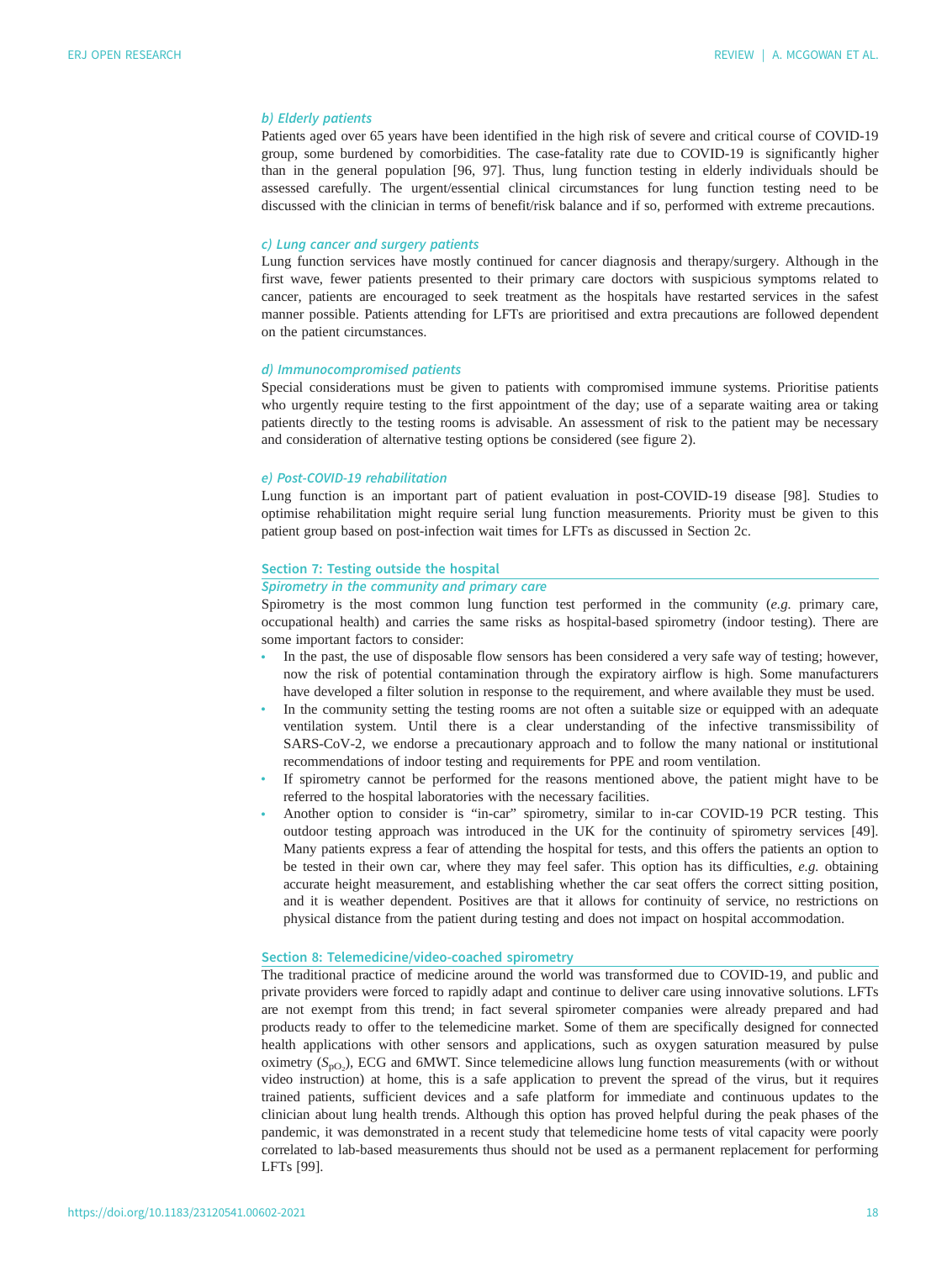# b) Elderly patients

Patients aged over 65 years have been identified in the high risk of severe and critical course of COVID-19 group, some burdened by comorbidities. The case-fatality rate due to COVID-19 is significantly higher than in the general population [[96, 97\]](#page-24-0). Thus, lung function testing in elderly individuals should be assessed carefully. The urgent/essential clinical circumstances for lung function testing need to be discussed with the clinician in terms of benefit/risk balance and if so, performed with extreme precautions.

#### c) Lung cancer and surgery patients

Lung function services have mostly continued for cancer diagnosis and therapy/surgery. Although in the first wave, fewer patients presented to their primary care doctors with suspicious symptoms related to cancer, patients are encouraged to seek treatment as the hospitals have restarted services in the safest manner possible. Patients attending for LFTs are prioritised and extra precautions are followed dependent on the patient circumstances.

#### d) Immunocompromised patients

Special considerations must be given to patients with compromised immune systems. Prioritise patients who urgently require testing to the first appointment of the day; use of a separate waiting area or taking patients directly to the testing rooms is advisable. An assessment of risk to the patient may be necessary and consideration of alternative testing options be considered (see [figure 2\)](#page-8-0).

#### e) Post-COVID-19 rehabilitation

Lung function is an important part of patient evaluation in post-COVID-19 disease [[98\]](#page-24-0). Studies to optimise rehabilitation might require serial lung function measurements. Priority must be given to this patient group based on post-infection wait times for LFTs as discussed in Section 2c.

#### Section 7: Testing outside the hospital

# Spirometry in the community and primary care

Spirometry is the most common lung function test performed in the community (e.g. primary care, occupational health) and carries the same risks as hospital-based spirometry (indoor testing). There are some important factors to consider:

- In the past, the use of disposable flow sensors has been considered a very safe way of testing; however, now the risk of potential contamination through the expiratory airflow is high. Some manufacturers have developed a filter solution in response to the requirement, and where available they must be used.
- In the community setting the testing rooms are not often a suitable size or equipped with an adequate ventilation system. Until there is a clear understanding of the infective transmissibility of SARS-CoV-2, we endorse a precautionary approach and to follow the many national or institutional recommendations of indoor testing and requirements for PPE and room ventilation.
- If spirometry cannot be performed for the reasons mentioned above, the patient might have to be referred to the hospital laboratories with the necessary facilities.
- Another option to consider is "in-car" spirometry, similar to in-car COVID-19 PCR testing. This outdoor testing approach was introduced in the UK for the continuity of spirometry services [[49\]](#page-22-0). Many patients express a fear of attending the hospital for tests, and this offers the patients an option to be tested in their own car, where they may feel safer. This option has its difficulties, e.g. obtaining accurate height measurement, and establishing whether the car seat offers the correct sitting position, and it is weather dependent. Positives are that it allows for continuity of service, no restrictions on physical distance from the patient during testing and does not impact on hospital accommodation.

# Section 8: Telemedicine/video-coached spirometry

The traditional practice of medicine around the world was transformed due to COVID-19, and public and private providers were forced to rapidly adapt and continue to deliver care using innovative solutions. LFTs are not exempt from this trend; in fact several spirometer companies were already prepared and had products ready to offer to the telemedicine market. Some of them are specifically designed for connected health applications with other sensors and applications, such as oxygen saturation measured by pulse oximetry  $(S_{\text{pO}_2})$ , ECG and 6MWT. Since telemedicine allows lung function measurements (with or without video instruction) at home this is a safe application to prevent the spread of the virus but it requires video instruction) at home, this is a safe application to prevent the spread of the virus, but it requires trained patients, sufficient devices and a safe platform for immediate and continuous updates to the clinician about lung health trends. Although this option has proved helpful during the peak phases of the pandemic, it was demonstrated in a recent study that telemedicine home tests of vital capacity were poorly correlated to lab-based measurements thus should not be used as a permanent replacement for performing LFTs [\[99](#page-24-0)].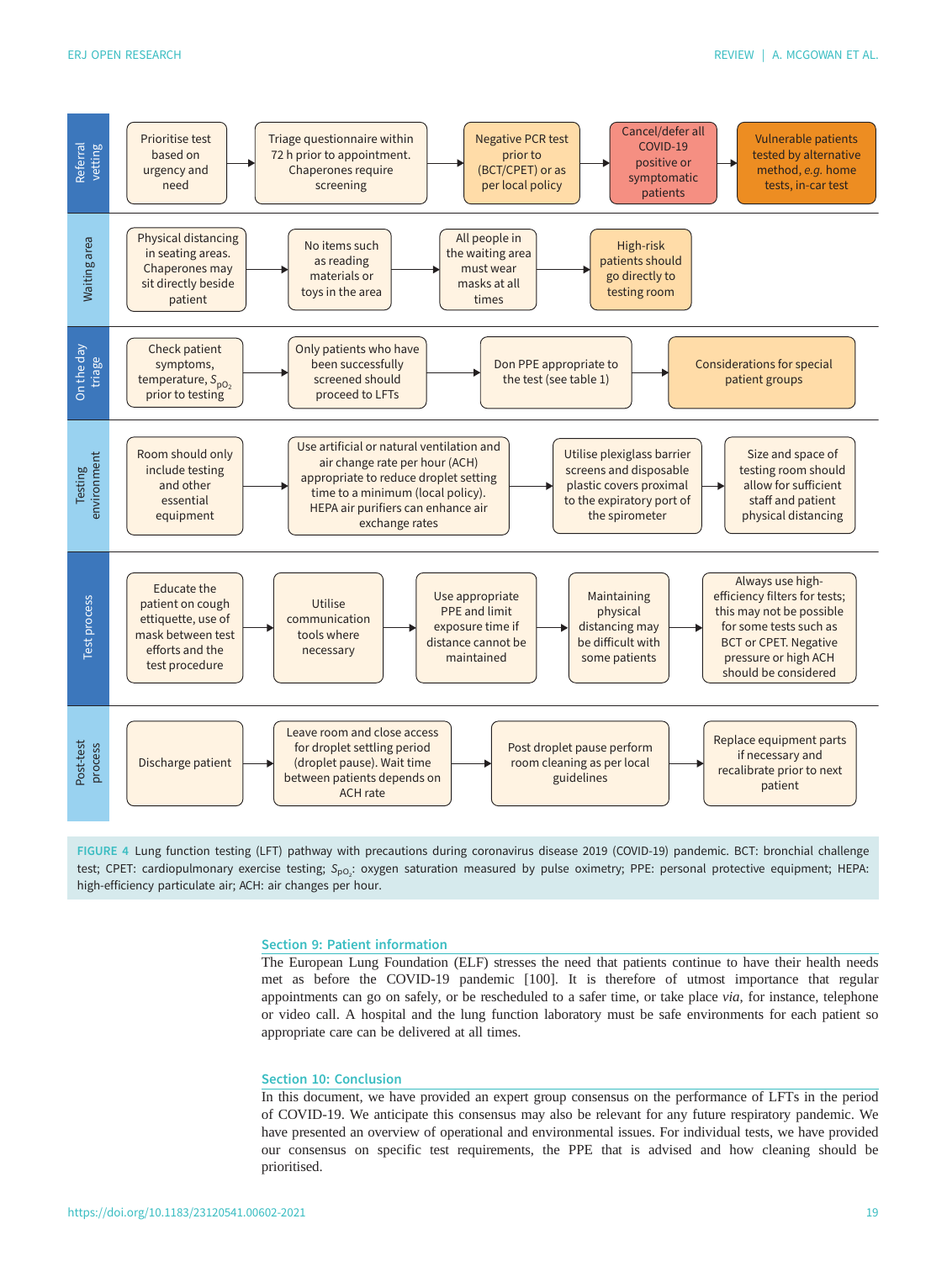<span id="page-19-0"></span>

FIGURE 4 Lung function testing (LFT) pathway with precautions during coronavirus disease 2019 (COVID-19) pandemic. BCT: bronchial challenge test; CPET: cardiopulmonary exercise testing; S<sub>pO2</sub>: oxygen saturation measured by pulse oximetry; PPE: personal protective equipment; HEPA: high-efficiency particulate air; ACH: air changes per hour.

#### Section 9: Patient information

The European Lung Foundation (ELF) stresses the need that patients continue to have their health needs met as before the COVID-19 pandemic [[100](#page-24-0)]. It is therefore of utmost importance that regular appointments can go on safely, or be rescheduled to a safer time, or take place via, for instance, telephone or video call. A hospital and the lung function laboratory must be safe environments for each patient so appropriate care can be delivered at all times.

## Section 10: Conclusion

In this document, we have provided an expert group consensus on the performance of LFTs in the period of COVID-19. We anticipate this consensus may also be relevant for any future respiratory pandemic. We have presented an overview of operational and environmental issues. For individual tests, we have provided our consensus on specific test requirements, the PPE that is advised and how cleaning should be prioritised.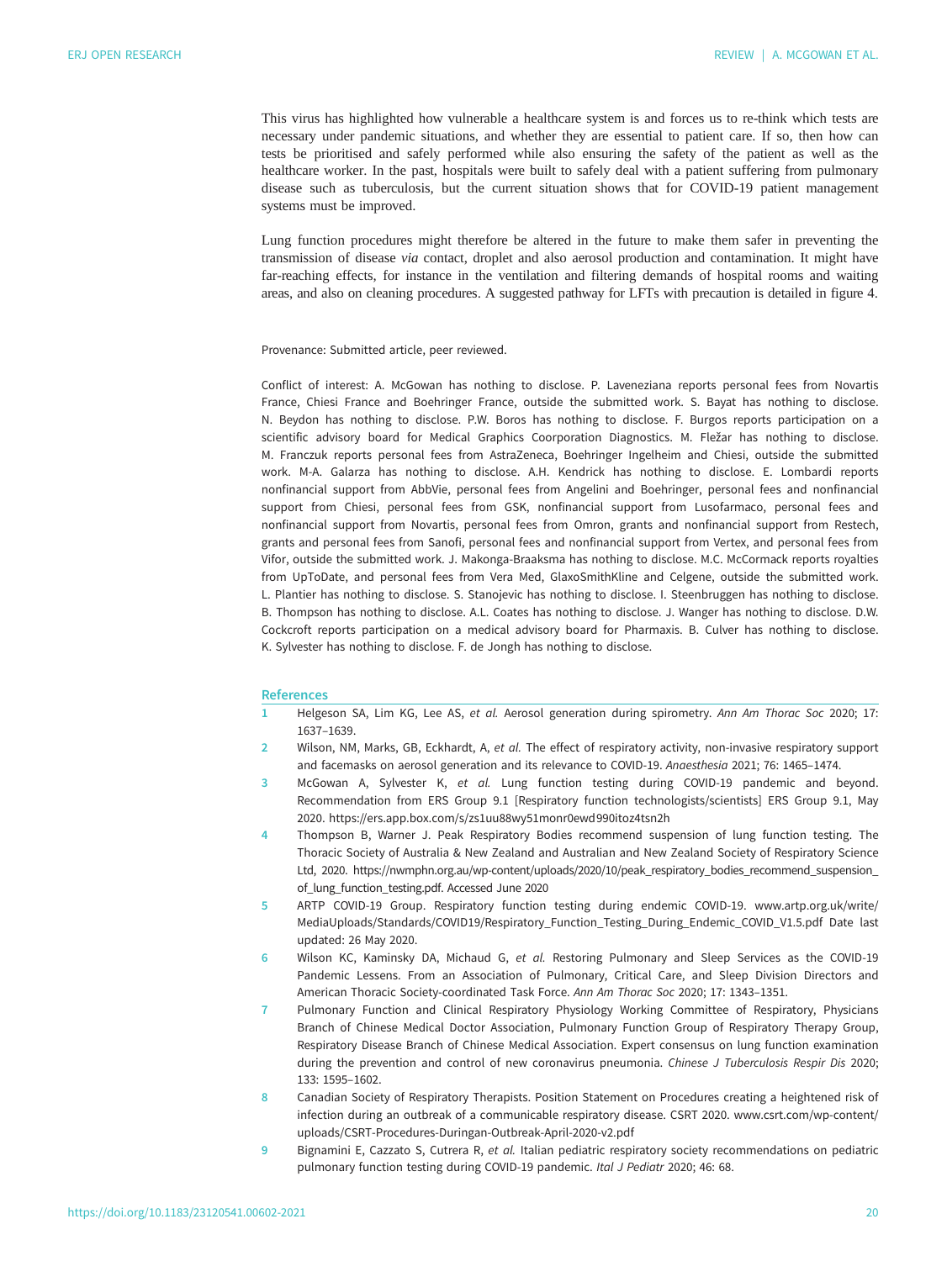<span id="page-20-0"></span>This virus has highlighted how vulnerable a healthcare system is and forces us to re-think which tests are necessary under pandemic situations, and whether they are essential to patient care. If so, then how can tests be prioritised and safely performed while also ensuring the safety of the patient as well as the healthcare worker. In the past, hospitals were built to safely deal with a patient suffering from pulmonary disease such as tuberculosis, but the current situation shows that for COVID-19 patient management systems must be improved.

Lung function procedures might therefore be altered in the future to make them safer in preventing the transmission of disease via contact, droplet and also aerosol production and contamination. It might have far-reaching effects, for instance in the ventilation and filtering demands of hospital rooms and waiting areas, and also on cleaning procedures. A suggested pathway for LFTs with precaution is detailed in [figure 4](#page-19-0).

Provenance: Submitted article, peer reviewed.

Conflict of interest: A. McGowan has nothing to disclose. P. Laveneziana reports personal fees from Novartis France, Chiesi France and Boehringer France, outside the submitted work. S. Bayat has nothing to disclose. N. Beydon has nothing to disclose. P.W. Boros has nothing to disclose. F. Burgos reports participation on a scientific advisory board for Medical Graphics Coorporation Diagnostics. M. Fležar has nothing to disclose. M. Franczuk reports personal fees from AstraZeneca, Boehringer Ingelheim and Chiesi, outside the submitted work. M-A. Galarza has nothing to disclose. A.H. Kendrick has nothing to disclose. E. Lombardi reports nonfinancial support from AbbVie, personal fees from Angelini and Boehringer, personal fees and nonfinancial support from Chiesi, personal fees from GSK, nonfinancial support from Lusofarmaco, personal fees and nonfinancial support from Novartis, personal fees from Omron, grants and nonfinancial support from Restech, grants and personal fees from Sanofi, personal fees and nonfinancial support from Vertex, and personal fees from Vifor, outside the submitted work. J. Makonga-Braaksma has nothing to disclose. M.C. McCormack reports royalties from UpToDate, and personal fees from Vera Med, GlaxoSmithKline and Celgene, outside the submitted work. L. Plantier has nothing to disclose. S. Stanojevic has nothing to disclose. I. Steenbruggen has nothing to disclose. B. Thompson has nothing to disclose. A.L. Coates has nothing to disclose. J. Wanger has nothing to disclose. D.W. Cockcroft reports participation on a medical advisory board for Pharmaxis. B. Culver has nothing to disclose. K. Sylvester has nothing to disclose. F. de Jongh has nothing to disclose.

## References

- 1 Helgeson SA, Lim KG, Lee AS, et al. Aerosol generation during spirometry. Ann Am Thorac Soc 2020; 17: 1637–1639.
- Wilson, NM, Marks, GB, Eckhardt, A, et al. The effect of respiratory activity, non-invasive respiratory support and facemasks on aerosol generation and its relevance to COVID-19. Anaesthesia 2021; 76: 1465–1474.
- 3 McGowan A, Sylvester K, et al. Lung function testing during COVID-19 pandemic and beyond. Recommendation from ERS Group 9.1 [Respiratory function technologists/scientists] ERS Group 9.1, May 2020.<https://ers.app.box.com/s/zs1uu88wy51monr0ewd990itoz4tsn2h>
- 4 Thompson B, Warner J. Peak Respiratory Bodies recommend suspension of lung function testing. The Thoracic Society of Australia & New Zealand and Australian and New Zealand Society of Respiratory Science Ltd, 2020. https://nwmphn.org.au/wp-content/uploads/2020/10/peak\_respiratory\_bodies\_recommend\_suspension\_ of\_lung\_function\_testing.pdf. Accessed June 2020
- 5 ARTP COVID-19 Group. Respiratory function testing during endemic COVID-19. www.artp.org.uk/write/ MediaUploads/Standards/COVID19/Respiratory\_Function\_Testing\_During\_Endemic\_COVID\_V1.5.pdf [Date last](Date last updated: 26 May 2020.) [updated: 26 May 2020.](Date last updated: 26 May 2020.)
- 6 Wilson KC, Kaminsky DA, Michaud G, et al. Restoring Pulmonary and Sleep Services as the COVID-19 Pandemic Lessens. From an Association of Pulmonary, Critical Care, and Sleep Division Directors and American Thoracic Society-coordinated Task Force. Ann Am Thorac Soc 2020; 17: 1343–1351.
- 7 Pulmonary Function and Clinical Respiratory Physiology Working Committee of Respiratory, Physicians Branch of Chinese Medical Doctor Association, Pulmonary Function Group of Respiratory Therapy Group, Respiratory Disease Branch of Chinese Medical Association. Expert consensus on lung function examination during the prevention and control of new coronavirus pneumonia. Chinese J Tuberculosis Respir Dis 2020; 133: 1595–1602.
- 8 Canadian Society of Respiratory Therapists. Position Statement on Procedures creating a heightened risk of infection during an outbreak of a communicable respiratory disease. CSRT 2020. [www.csrt.com/wp-content/](http://www.csrt.com/wp-content/uploads/CSRT-Procedures-Duringan-Outbreak-April-2020-v2.pdf) [uploads/CSRT-Procedures-Duringan-Outbreak-April-2020-v2.pdf](http://www.csrt.com/wp-content/uploads/CSRT-Procedures-Duringan-Outbreak-April-2020-v2.pdf)
- 9 Bignamini E, Cazzato S, Cutrera R, et al. Italian pediatric respiratory society recommendations on pediatric pulmonary function testing during COVID-19 pandemic. Ital J Pediatr 2020; 46: 68.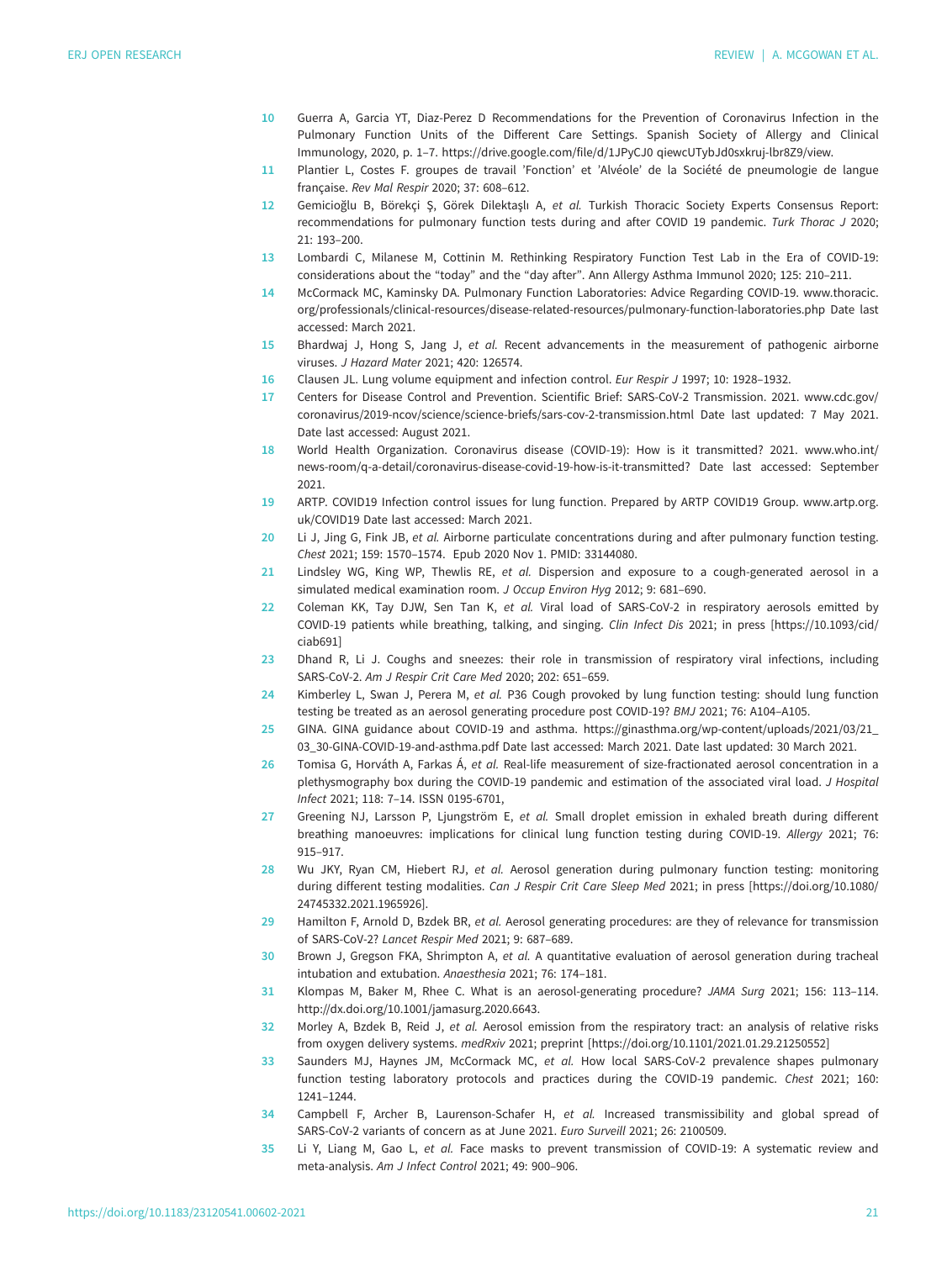- <span id="page-21-0"></span>10 Guerra A, Garcia YT, Diaz-Perez D Recommendations for the Prevention of Coronavirus Infection in the Pulmonary Function Units of the Different Care Settings. Spanish Society of Allergy and Clinical Immunology, 2020, p. 1–7. [https://drive.google.com/file/d/1JPyCJ0 qiewcUTybJd0sxkruj-lbr8Z9/view.](https://drive.google.com/file/d/1JPyCJ0 qiewcUTybJd0sxkruj-lbr8Z9/view)
- 11 Plantier L, Costes F. groupes de travail 'Fonction' et 'Alvéole' de la Société de pneumologie de langue française. Rev Mal Respir 2020; 37: 608–612.
- 12 Gemicioğlu B, Börekçi Ş, Görek Dilektaşlı A, et al. Turkish Thoracic Society Experts Consensus Report: recommendations for pulmonary function tests during and after COVID 19 pandemic. Turk Thorac J 2020; 21: 193–200.
- 13 Lombardi C, Milanese M, Cottinin M. Rethinking Respiratory Function Test Lab in the Era of COVID-19: considerations about the "today" and the "day after". Ann Allergy Asthma Immunol 2020; 125: 210–211.
- 14 McCormack MC, Kaminsky DA. Pulmonary Function Laboratories: Advice Regarding COVID-19. [www.thoracic.](http://www.thoracic.org/professionals/clinical-resources/disease-related-resources/pulmonary-function-laboratories.php) [org/professionals/clinical-resources/disease-related-resources/pulmonary-function-laboratories.php](http://www.thoracic.org/professionals/clinical-resources/disease-related-resources/pulmonary-function-laboratories.php) Date last accessed: March 2021.
- 15 Bhardwaj J, Hong S, Jang J, et al. Recent advancements in the measurement of pathogenic airborne viruses. J Hazard Mater 2021; 420: 126574.
- 16 Clausen JL. Lung volume equipment and infection control. Eur Respir J 1997; 10: 1928-1932.
- 17 Centers for Disease Control and Prevention. Scientific Brief: SARS-CoV-2 Transmission. 2021. [www.cdc.gov/](http://www.cdc.gov/coronavirus/2019-ncov/science/science-briefs/sars-cov-2-transmission.html) [coronavirus/2019-ncov/science/science-briefs/sars-cov-2-transmission.html](http://www.cdc.gov/coronavirus/2019-ncov/science/science-briefs/sars-cov-2-transmission.html) Date last updated: 7 May 2021. Date last accessed: August 2021.
- 18 World Health Organization. Coronavirus disease (COVID-19): How is it transmitted? 2021. [www.who.int/](http://www.who.int/news-room/q-a-detail/coronavirus-disease-covid-19-how-is-it-transmitted?) [news-room/q-a-detail/coronavirus-disease-covid-19-how-is-it-transmitted?](http://www.who.int/news-room/q-a-detail/coronavirus-disease-covid-19-how-is-it-transmitted?) Date last accessed: September 2021.
- 19 ARTP. COVID19 Infection control issues for lung function. Prepared by ARTP COVID19 Group. [www.artp.org.](http://www.artp.org.uk/COVID19) [uk/COVID19](http://www.artp.org.uk/COVID19) Date last accessed: March 2021.
- 20 Li J, Jing G, Fink JB, et al. Airborne particulate concentrations during and after pulmonary function testing. Chest 2021; 159: 1570–1574. Epub 2020 Nov 1. PMID: 33144080.
- 21 Lindsley WG, King WP, Thewlis RE, et al. Dispersion and exposure to a cough-generated aerosol in a simulated medical examination room. J Occup Environ Hyg 2012; 9: 681-690.
- 22 Coleman KK, Tay DJW, Sen Tan K, et al. Viral load of SARS-CoV-2 in respiratory aerosols emitted by COVID-19 patients while breathing, talking, and singing. Clin Infect Dis 2021; in press [\[https://10.1093/cid/](https://10.1093/cid/ciab691) [ciab691\]](https://10.1093/cid/ciab691)
- 23 Dhand R, Li J. Coughs and sneezes: their role in transmission of respiratory viral infections, including SARS-CoV-2. Am J Respir Crit Care Med 2020; 202: 651–659.
- 24 Kimberley L, Swan J, Perera M, et al. P36 Cough provoked by lung function testing: should lung function testing be treated as an aerosol generating procedure post COVID-19? BMJ 2021; 76: A104–A105.
- 25 GINA. GINA guidance about COVID-19 and asthma. [https://ginasthma.org/wp-content/uploads/2021/03/21\\_](https://ginasthma.org/wp-content/uploads/2021/03/21_03_30-GINA-COVID-19-and-asthma.pdf) [03\\_30-GINA-COVID-19-and-asthma.pdf](https://ginasthma.org/wp-content/uploads/2021/03/21_03_30-GINA-COVID-19-and-asthma.pdf) Date last accessed: March 2021. Date last updated: 30 March 2021.
- 26 Tomisa G, Horváth A, Farkas Á, et al. Real-life measurement of size-fractionated aerosol concentration in a plethysmography box during the COVID-19 pandemic and estimation of the associated viral load. J Hospital Infect 2021; 118: 7–14. ISSN 0195-6701,
- 27 Greening NJ, Larsson P, Ljungström E, et al. Small droplet emission in exhaled breath during different breathing manoeuvres: implications for clinical lung function testing during COVID-19. Allergy 2021; 76: 915–917.
- 28 Wu JKY, Ryan CM, Hiebert RJ, et al. Aerosol generation during pulmonary function testing: monitoring during different testing modalities. Can J Respir Crit Care Sleep Med 2021; in press [[https://doi.org/10.1080/](https://doi.org/10.1080/24745332.2021.1965926) [24745332.2021.1965926](https://doi.org/10.1080/24745332.2021.1965926)].
- 29 Hamilton F, Arnold D, Bzdek BR, et al. Aerosol generating procedures: are they of relevance for transmission of SARS-CoV-2? Lancet Respir Med 2021; 9: 687–689.
- 30 Brown J, Gregson FKA, Shrimpton A, et al. A quantitative evaluation of aerosol generation during tracheal intubation and extubation. Anaesthesia 2021; 76: 174–181.
- 31 Klompas M, Baker M, Rhee C. What is an aerosol-generating procedure? JAMA Surg 2021; 156: 113–114. [http://dx.doi.org/10.1001/jamasurg.2020.6643.](http://dx.doi.org/10.1001/jamasurg.2020.6643)
- 32 Morley A, Bzdek B, Reid J, et al. Aerosol emission from the respiratory tract: an analysis of relative risks from oxygen delivery systems. medRxiv 2021; preprint [\[https://doi.org/10.1101/2021.01.29.21250552\]](https://doi.org/10.1101/2021.01.29.21250552)
- 33 Saunders MJ, Haynes JM, McCormack MC, et al. How local SARS-CoV-2 prevalence shapes pulmonary function testing laboratory protocols and practices during the COVID-19 pandemic. Chest 2021; 160: 1241–1244.
- 34 Campbell F, Archer B, Laurenson-Schafer H, et al. Increased transmissibility and global spread of SARS-CoV-2 variants of concern as at June 2021. Euro Surveill 2021; 26: 2100509.
- 35 Li Y, Liang M, Gao L, et al. Face masks to prevent transmission of COVID-19: A systematic review and meta-analysis. Am J Infect Control 2021; 49: 900–906.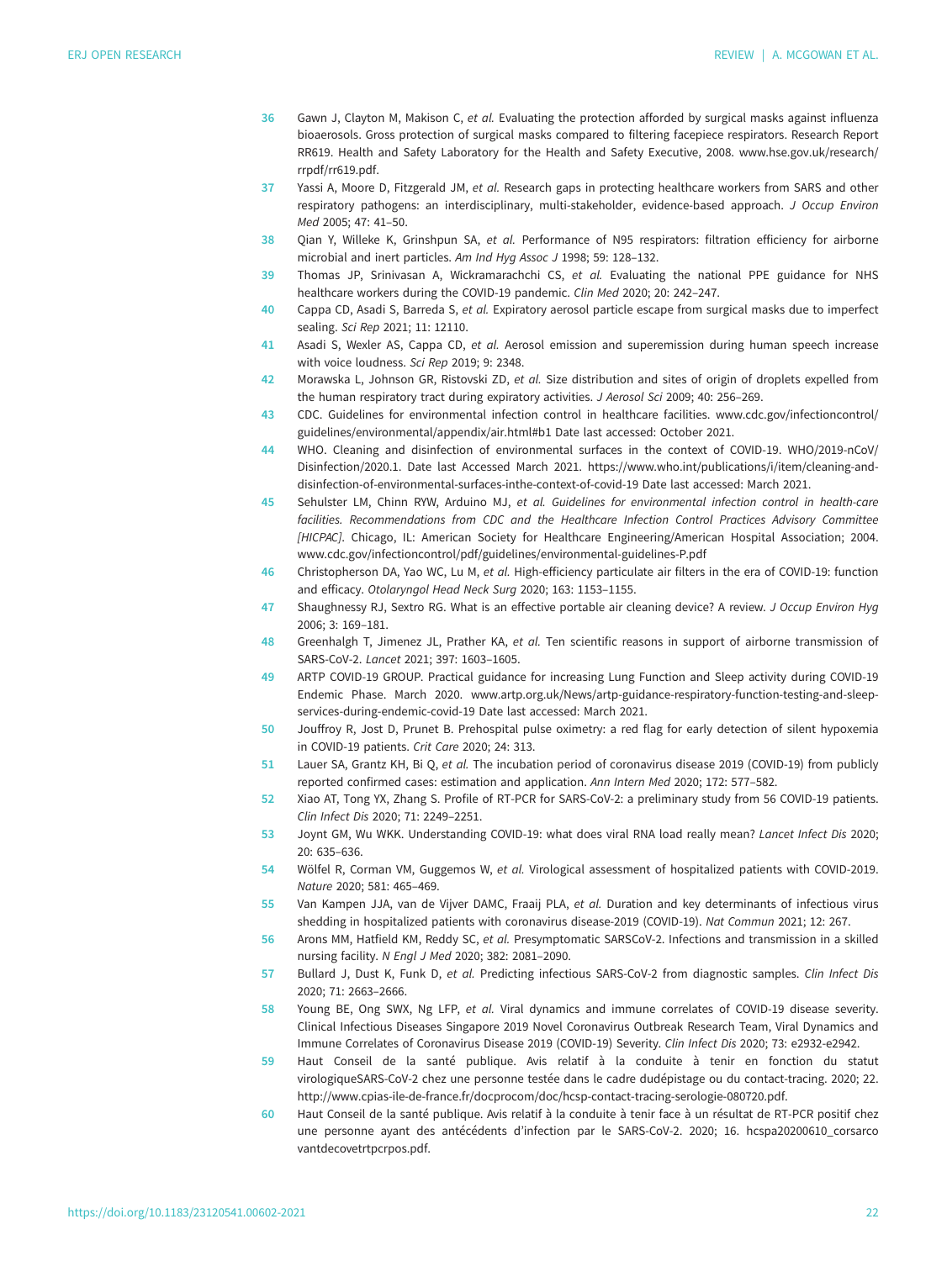- <span id="page-22-0"></span>36 Gawn J, Clayton M, Makison C, et al. Evaluating the protection afforded by surgical masks against influenza bioaerosols. Gross protection of surgical masks compared to filtering facepiece respirators. Research Report RR619. Health and Safety Laboratory for the Health and Safety Executive, 2008. [www.hse.gov.uk/research/](http://www.hse.gov.uk/research/rrpdf/rr619.pdf) [rrpdf/rr619.pdf.](http://www.hse.gov.uk/research/rrpdf/rr619.pdf)
- 37 Yassi A, Moore D, Fitzgerald JM, et al. Research gaps in protecting healthcare workers from SARS and other respiratory pathogens: an interdisciplinary, multi-stakeholder, evidence-based approach. J Occup Environ Med 2005; 47: 41–50.
- 38 Oian Y, Willeke K, Grinshpun SA, et al. Performance of N95 respirators: filtration efficiency for airborne microbial and inert particles. Am Ind Hyg Assoc J 1998; 59: 128–132.
- 39 Thomas JP, Srinivasan A, Wickramarachchi CS, et al. Evaluating the national PPE guidance for NHS healthcare workers during the COVID-19 pandemic. Clin Med 2020; 20: 242–247.
- 40 Cappa CD, Asadi S, Barreda S, et al. Expiratory aerosol particle escape from surgical masks due to imperfect sealing. Sci Rep 2021; 11: 12110.
- 41 Asadi S, Wexler AS, Cappa CD, et al. Aerosol emission and superemission during human speech increase with voice loudness. Sci Rep 2019; 9: 2348.
- 42 Morawska L, Johnson GR, Ristovski ZD, et al. Size distribution and sites of origin of droplets expelled from the human respiratory tract during expiratory activities. J Aerosol Sci 2009; 40: 256–269.
- 43 CDC. Guidelines for environmental infection control in healthcare facilities. [www.cdc.gov/infectioncontrol/](http://www.cdc.gov/infectioncontrol/guidelines/environmental/appendix/air.html#b1) [guidelines/environmental/appendix/air.html#b1](http://www.cdc.gov/infectioncontrol/guidelines/environmental/appendix/air.html#b1) Date last accessed: October 2021.
- 44 WHO. Cleaning and disinfection of environmental surfaces in the context of COVID-19. WHO/2019-nCoV/ Disinfection/2020.1. Date last Accessed March 2021. [https://www.who.int/publications/i/item/cleaning-and](https://www.who.int/publications/i/item/cleaning-and-disinfection-of-environmental-surfaces-inthe-context-of-covid-19)[disinfection-of-environmental-surfaces-inthe-context-of-covid-19](https://www.who.int/publications/i/item/cleaning-and-disinfection-of-environmental-surfaces-inthe-context-of-covid-19) Date last accessed: March 2021.
- 45 Sehulster LM, Chinn RYW, Arduino MJ, et al. Guidelines for environmental infection control in health-care facilities. Recommendations from CDC and the Healthcare Infection Control Practices Advisory Committee [HICPAC]. Chicago, IL: American Society for Healthcare Engineering/American Hospital Association; 2004. [www.cdc.gov/infectioncontrol/pdf/guidelines/environmental-guidelines-P.pdf](http://www.cdc.gov/infectioncontrol/pdf/guidelines/environmental-guidelines-P.pdf)
- 46 Christopherson DA, Yao WC, Lu M, et al. High-efficiency particulate air filters in the era of COVID-19: function and efficacy. Otolaryngol Head Neck Surg 2020; 163: 1153–1155.
- 47 Shaughnessy RJ, Sextro RG. What is an effective portable air cleaning device? A review. J Occup Environ Hyg 2006; 3: 169–181.
- 48 Greenhalgh T, Jimenez JL, Prather KA, et al. Ten scientific reasons in support of airborne transmission of SARS-CoV-2. Lancet 2021; 397: 1603–1605.
- 49 ARTP COVID-19 GROUP. Practical guidance for increasing Lung Function and Sleep activity during COVID-19 Endemic Phase. March 2020. [www.artp.org.uk/News/artp-guidance-respiratory-function-testing-and-sleep](http://www.artp.org.uk/News/artp-guidance-respiratory-function-testing-and-sleep-services-during-endemic-covid-19)[services-during-endemic-covid-19](http://www.artp.org.uk/News/artp-guidance-respiratory-function-testing-and-sleep-services-during-endemic-covid-19) Date last accessed: March 2021.
- 50 Jouffroy R, Jost D, Prunet B. Prehospital pulse oximetry: a red flag for early detection of silent hypoxemia in COVID-19 patients. Crit Care 2020; 24: 313.
- 51 Lauer SA, Grantz KH, Bi Q, et al. The incubation period of coronavirus disease 2019 (COVID-19) from publicly reported confirmed cases: estimation and application. Ann Intern Med 2020; 172: 577–582.
- 52 Xiao AT, Tong YX, Zhang S. Profile of RT-PCR for SARS-CoV-2: a preliminary study from 56 COVID-19 patients. Clin Infect Dis 2020; 71: 2249–2251.
- 53 Joynt GM, Wu WKK. Understanding COVID-19: what does viral RNA load really mean? Lancet Infect Dis 2020; 20: 635–636.
- 54 Wölfel R, Corman VM, Guggemos W, et al. Virological assessment of hospitalized patients with COVID-2019. Nature 2020; 581: 465–469.
- 55 Van Kampen JJA, van de Vijver DAMC, Fraaij PLA, et al. Duration and key determinants of infectious virus shedding in hospitalized patients with coronavirus disease-2019 (COVID-19). Nat Commun 2021; 12: 267.
- 56 Arons MM, Hatfield KM, Reddy SC, et al. Presymptomatic SARSCoV-2. Infections and transmission in a skilled nursing facility. N Engl J Med 2020; 382: 2081–2090.
- 57 Bullard J, Dust K, Funk D, et al. Predicting infectious SARS-CoV-2 from diagnostic samples. Clin Infect Dis 2020; 71: 2663–2666.
- 58 Young BE, Ong SWX, Ng LFP, et al. Viral dynamics and immune correlates of COVID-19 disease severity. Clinical Infectious Diseases Singapore 2019 Novel Coronavirus Outbreak Research Team, Viral Dynamics and Immune Correlates of Coronavirus Disease 2019 (COVID-19) Severity. Clin Infect Dis 2020; 73: e2932-e2942.
- 59 Haut Conseil de la santé publique. Avis relatif à la conduite à tenir en fonction du statut virologiqueSARS-CoV-2 chez une personne testée dans le cadre dudépistage ou du contact-tracing. 2020; 22. [http://www.cpias-ile-de-france.fr/docprocom/doc/hcsp-contact-tracing-serologie-080720.pdf.](http://www.cpias-ile-de-france.fr/docprocom/doc/hcsp-contact-tracing-serologie-080720.pdf)
- 60 Haut Conseil de la santé publique. Avis relatif à la conduite à tenir face à un résultat de RT-PCR positif chez une personne ayant des antécédents d'infection par le SARS-CoV-2. 2020; 16. hcspa20200610\_corsarco vantdecovetrtpcrpos.pdf.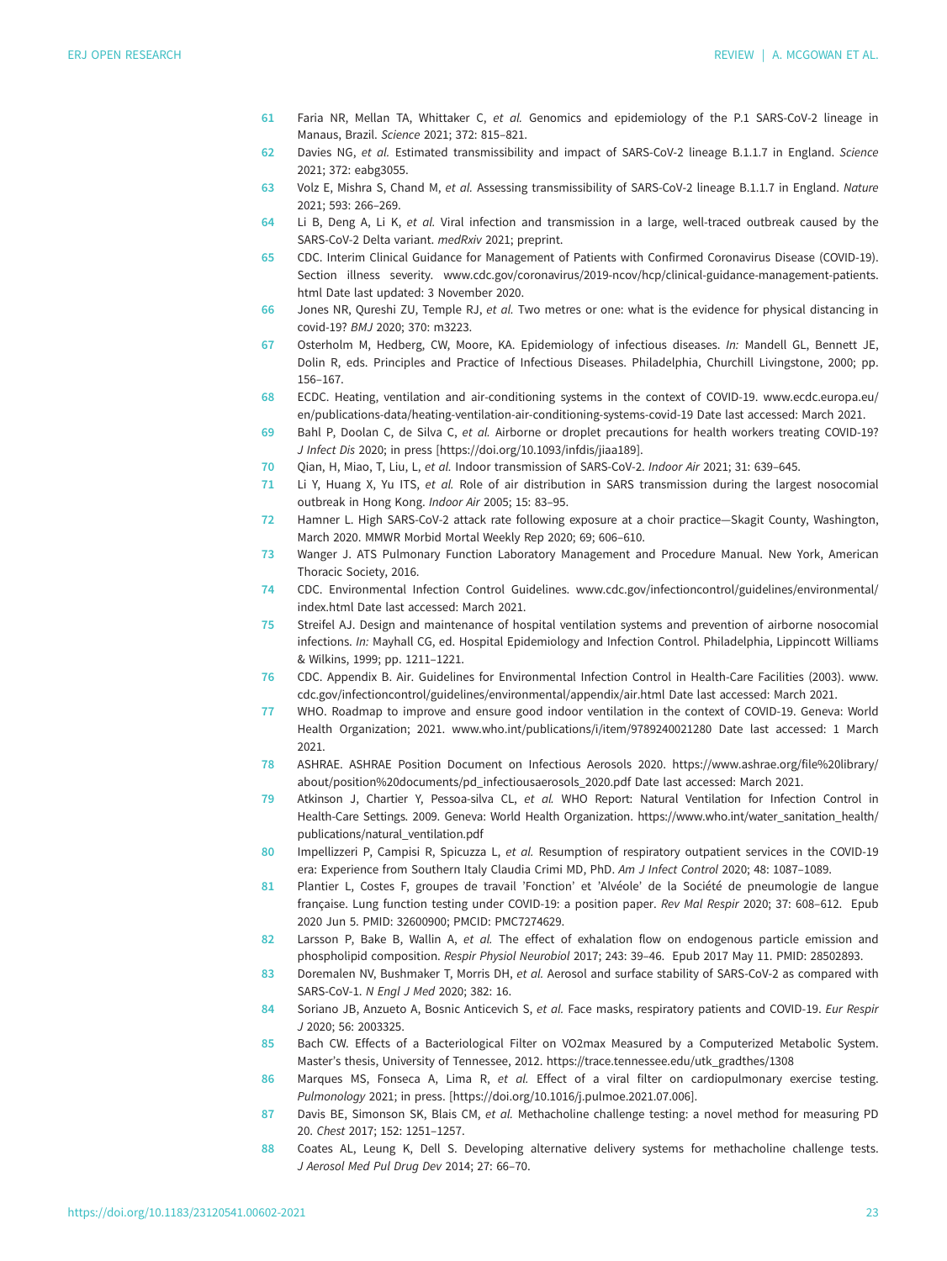- <span id="page-23-0"></span>61 Faria NR, Mellan TA, Whittaker C, et al. Genomics and epidemiology of the P.1 SARS-CoV-2 lineage in Manaus, Brazil. Science 2021; 372: 815–821.
- 62 Davies NG, et al. Estimated transmissibility and impact of SARS-CoV-2 lineage B.1.1.7 in England. Science 2021; 372: eabg3055.
- 63 Volz E, Mishra S, Chand M, et al. Assessing transmissibility of SARS-CoV-2 lineage B.1.1.7 in England. Nature 2021; 593: 266–269.
- 64 Li B, Deng A, Li K, et al. Viral infection and transmission in a large, well-traced outbreak caused by the SARS-CoV-2 Delta variant. medRxiv 2021; preprint.
- 65 CDC. Interim Clinical Guidance for Management of Patients with Confirmed Coronavirus Disease (COVID-19). Section illness severity. [www.cdc.gov/coronavirus/2019-ncov/hcp/clinical-guidance-management-patients.](http://www.cdc.gov/coronavirus/2019-ncov/hcp/clinical-guidance-management-patients.html) [html](http://www.cdc.gov/coronavirus/2019-ncov/hcp/clinical-guidance-management-patients.html) Date last updated: 3 November 2020.
- 66 Jones NR, Qureshi ZU, Temple RJ, et al. Two metres or one: what is the evidence for physical distancing in covid-19? BMJ 2020; 370: m3223.
- 67 Osterholm M, Hedberg, CW, Moore, KA. Epidemiology of infectious diseases. In: Mandell GL, Bennett JE, Dolin R, eds. Principles and Practice of Infectious Diseases. Philadelphia, Churchill Livingstone, 2000; pp. 156–167.
- 68 ECDC. Heating, ventilation and air-conditioning systems in the context of COVID-19. [www.ecdc.europa.eu/](http://www.ecdc.europa.eu/en/publications-data/heating-ventilation-air-conditioning-systems-covid-19) [en/publications-data/heating-ventilation-air-conditioning-systems-covid-19](http://www.ecdc.europa.eu/en/publications-data/heating-ventilation-air-conditioning-systems-covid-19) Date last accessed: March 2021.
- 69 Bahl P, Doolan C, de Silva C, et al. Airborne or droplet precautions for health workers treating COVID-19? J Infect Dis 2020; in press [<https://doi.org/10.1093/infdis/jiaa189>].
- 70 Qian, H, Miao, T, Liu, L, et al. Indoor transmission of SARS-CoV-2. Indoor Air 2021; 31: 639–645.
- 71 Li Y, Huang X, Yu ITS, et al. Role of air distribution in SARS transmission during the largest nosocomial outbreak in Hong Kong. Indoor Air 2005; 15: 83–95.
- 72 Hamner L. High SARS-CoV-2 attack rate following exposure at a choir practice—Skagit County, Washington, March 2020. MMWR Morbid Mortal Weekly Rep 2020; 69; 606–610.
- 73 Wanger J. ATS Pulmonary Function Laboratory Management and Procedure Manual. New York, American Thoracic Society, 2016.
- 74 CDC. Environmental Infection Control Guidelines. [www.cdc.gov/infectioncontrol/guidelines/environmental/](http://www.cdc.gov/infectioncontrol/guidelines/environmental/index.html) [index.html](http://www.cdc.gov/infectioncontrol/guidelines/environmental/index.html) Date last accessed: March 2021.
- 75 Streifel AJ. Design and maintenance of hospital ventilation systems and prevention of airborne nosocomial infections. In: Mayhall CG, ed. Hospital Epidemiology and Infection Control. Philadelphia, Lippincott Williams & Wilkins, 1999; pp. 1211–1221.
- 76 CDC. Appendix B. Air. Guidelines for Environmental Infection Control in Health-Care Facilities (2003). [www.](http://www.cdc.gov/infectioncontrol/guidelines/environmental/appendix/air.html) [cdc.gov/infectioncontrol/guidelines/environmental/appendix/air.html](http://www.cdc.gov/infectioncontrol/guidelines/environmental/appendix/air.html) Date last accessed: March 2021.
- 77 WHO. Roadmap to improve and ensure good indoor ventilation in the context of COVID-19. Geneva: World Health Organization; 2021. [www.who.int/publications/i/item/9789240021280](http://www.who.int/publications/i/item/9789240021280) Date last accessed: 1 March 2021.
- 78 ASHRAE. ASHRAE Position Document on Infectious Aerosols 2020. [https://www.ashrae.org/file%20library/](https://www.ashrae.org/file%20library/about/position%20documents/pd_infectiousaerosols_2020.pdf) [about/position%20documents/pd\\_infectiousaerosols\\_2020.pdf](https://www.ashrae.org/file%20library/about/position%20documents/pd_infectiousaerosols_2020.pdf) Date last accessed: March 2021.
- 79 Atkinson J, Chartier Y, Pessoa-silva CL, et al. WHO Report: Natural Ventilation for Infection Control in Health-Care Settings. 2009. Geneva: World Health Organization. https://www.who.int/water\_sanitation\_health/ publications/natural\_ventilation.pdf
- 80 Impellizzeri P, Campisi R, Spicuzza L, et al. Resumption of respiratory outpatient services in the COVID-19 era: Experience from Southern Italy Claudia Crimi MD, PhD. Am J Infect Control 2020; 48: 1087–1089.
- 81 Plantier L, Costes F, groupes de travail 'Fonction' et 'Alvéole' de la Société de pneumologie de langue française. Lung function testing under COVID-19: a position paper. Rev Mal Respir 2020; 37: 608–612. Epub 2020 Jun 5. PMID: 32600900; PMCID: PMC7274629.
- 82 Larsson P, Bake B, Wallin A, et al. The effect of exhalation flow on endogenous particle emission and phospholipid composition. Respir Physiol Neurobiol 2017; 243: 39–46. Epub 2017 May 11. PMID: 28502893.
- 83 Doremalen NV, Bushmaker T, Morris DH, et al. Aerosol and surface stability of SARS-CoV-2 as compared with SARS-CoV-1. N Engl J Med 2020; 382: 16.
- 84 Soriano JB, Anzueto A, Bosnic Anticevich S, et al. Face masks, respiratory patients and COVID-19. Eur Respir J 2020; 56: 2003325.
- 85 Bach CW. Effects of a Bacteriological Filter on VO2max Measured by a Computerized Metabolic System. Master's thesis, University of Tennessee, 2012. [https://trace.tennessee.edu/utk\\_gradthes/1308](https://trace.tennessee.edu/utk_gradthes/1308)
- 86 Marques MS, Fonseca A, Lima R, et al. Effect of a viral filter on cardiopulmonary exercise testing. Pulmonology 2021; in press. [\[https://doi.org/10.1016/j.pulmoe.2021.07.006](https://doi.org/10.1016/j.pulmoe.2021.07.006)].
- 87 Davis BE, Simonson SK, Blais CM, et al. Methacholine challenge testing: a novel method for measuring PD 20. Chest 2017; 152: 1251–1257.
- 88 Coates AL, Leung K, Dell S. Developing alternative delivery systems for methacholine challenge tests. J Aerosol Med Pul Drug Dev 2014; 27: 66–70.